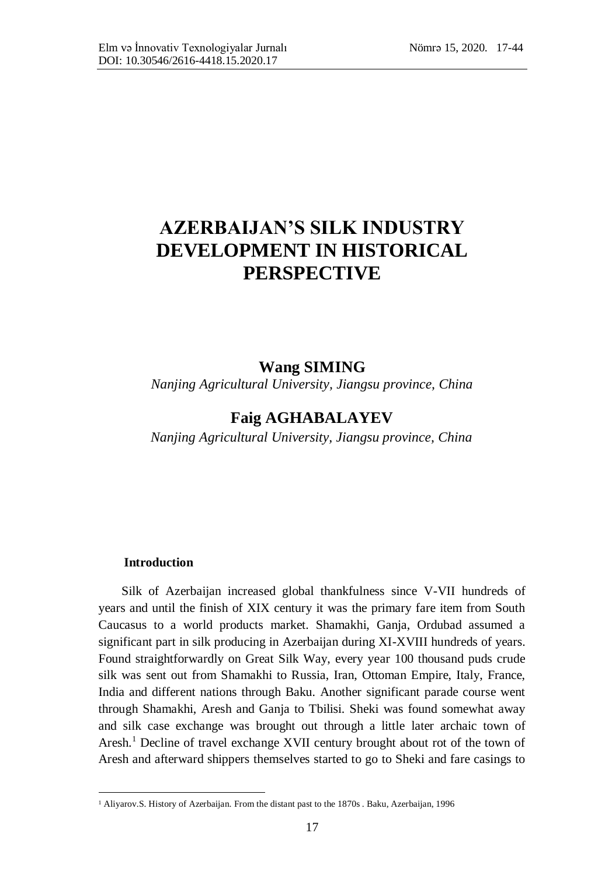# **AZERBAIJAN'S SILK INDUSTRY DEVELOPMENT IN HISTORICAL PERSPECTIVE**

# **Wang SIMING**

*Nanjing Agricultural University, Jiangsu province, China*

# **Faig AGHABALAYEV**

 *Nanjing Agricultural University, Jiangsu province, China*

### **Introduction**

 $\overline{a}$ 

Silk of Azerbaijan increased global thankfulness since V-VII hundreds of years and until the finish of XIX century it was the primary fare item from South Caucasus to a world products market. Shamakhi, Ganja, Ordubad assumed a significant part in silk producing in Azerbaijan during XI-XVIII hundreds of years. Found straightforwardly on Great Silk Way, every year 100 thousand puds crude silk was sent out from Shamakhi to Russia, Iran, Ottoman Empire, Italy, France, India and different nations through Baku. Another significant parade course went through Shamakhi, Aresh and Ganja to Tbilisi. Sheki was found somewhat away and silk case exchange was brought out through a little later archaic town of Aresh.<sup>1</sup> Decline of travel exchange XVII century brought about rot of the town of Aresh and afterward shippers themselves started to go to Sheki and fare casings to

<sup>&</sup>lt;sup>1</sup> Aliyarov.S. History of Azerbaijan. From the distant past to the 1870s . Baku, Azerbaijan, 1996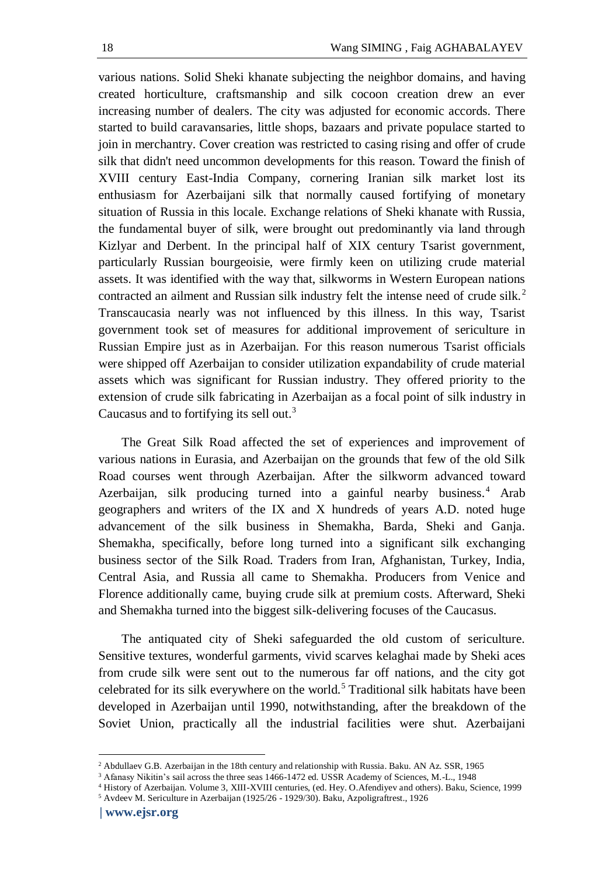various nations. Solid Sheki khanate subjecting the neighbor domains, and having created horticulture, craftsmanship and silk cocoon creation drew an ever increasing number of dealers. The city was adjusted for economic accords. There started to build caravansaries, little shops, bazaars and private populace started to join in merchantry. Cover creation was restricted to casing rising and offer of crude silk that didn't need uncommon developments for this reason. Toward the finish of XVIII century East-India Company, cornering Iranian silk market lost its enthusiasm for Azerbaijani silk that normally caused fortifying of monetary situation of Russia in this locale. Exchange relations of Sheki khanate with Russia, the fundamental buyer of silk, were brought out predominantly via land through Kizlyar and Derbent. In the principal half of XIX century Tsarist government, particularly Russian bourgeoisie, were firmly keen on utilizing crude material assets. It was identified with the way that, silkworms in Western European nations contracted an ailment and Russian silk industry felt the intense need of crude silk.<sup>2</sup> Transcaucasia nearly was not influenced by this illness. In this way, Tsarist government took set of measures for additional improvement of sericulture in Russian Empire just as in Azerbaijan. For this reason numerous Tsarist officials were shipped off Azerbaijan to consider utilization expandability of crude material assets which was significant for Russian industry. They offered priority to the extension of crude silk fabricating in Azerbaijan as a focal point of silk industry in Caucasus and to fortifying its sell out.<sup>3</sup>

The Great Silk Road affected the set of experiences and improvement of various nations in Eurasia, and Azerbaijan on the grounds that few of the old Silk Road courses went through Azerbaijan. After the silkworm advanced toward Azerbaijan, silk producing turned into a gainful nearby business.<sup>4</sup> Arab geographers and writers of the IX and X hundreds of years A.D. noted huge advancement of the silk business in Shemakha, Barda, Sheki and Ganja. Shemakha, specifically, before long turned into a significant silk exchanging business sector of the Silk Road. Traders from Iran, Afghanistan, Turkey, India, Central Asia, and Russia all came to Shemakha. Producers from Venice and Florence additionally came, buying crude silk at premium costs. Afterward, Sheki and Shemakha turned into the biggest silk-delivering focuses of the Caucasus.

The antiquated city of Sheki safeguarded the old custom of sericulture. Sensitive textures, wonderful garments, vivid scarves kelaghai made by Sheki aces from crude silk were sent out to the numerous far off nations, and the city got celebrated for its silk everywhere on the world.<sup>5</sup> Traditional silk habitats have been developed in Azerbaijan until 1990, notwithstanding, after the breakdown of the Soviet Union, practically all the industrial facilities were shut. Azerbaijani

<sup>2</sup> Abdullaev G.B. Azerbaijan in the 18th century and relationship with Russia. Baku. AN Az. SSR, 1965

<sup>3</sup> Afanasy Nikitin's sail across the three seas 1466-1472 ed. USSR Academy of Sciences, M.-L., 1948

<sup>4</sup> History of Azerbaijan. Volume 3, XIII-XVIII centuries, (ed. Hey. O.Afendiyev and others). Baku, Science, 1999 <sup>5</sup> Avdeev M. Sericulture in Azerbaijan (1925/26 - 1929/30). Baku, Azpoligraftrest., 1926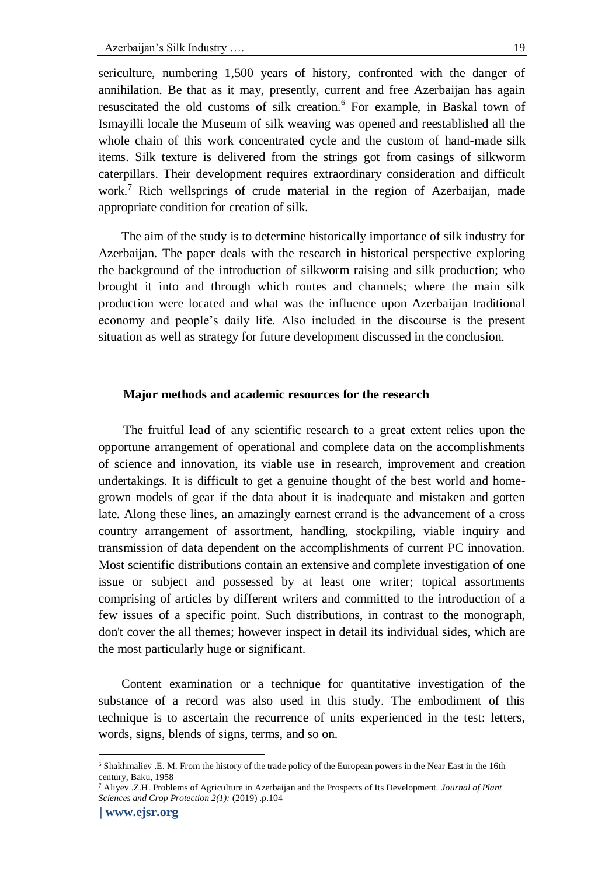sericulture, numbering 1,500 years of history, confronted with the danger of annihilation. Be that as it may, presently, current and free Azerbaijan has again resuscitated the old customs of silk creation.<sup>6</sup> For example, in Baskal town of Ismayilli locale the Museum of silk weaving was opened and reestablished all the whole chain of this work concentrated cycle and the custom of hand-made silk items. Silk texture is delivered from the strings got from casings of silkworm caterpillars. Their development requires extraordinary consideration and difficult work.<sup>7</sup> Rich wellsprings of crude material in the region of Azerbaijan, made appropriate condition for creation of silk.

The aim of the study is to determine historically importance of silk industry for Azerbaijan. The paper deals with the research in historical perspective exploring the background of the introduction of silkworm raising and silk production; who brought it into and through which routes and channels; where the main silk production were located and what was the influence upon Azerbaijan traditional economy and people's daily life. Also included in the discourse is the present situation as well as strategy for future development discussed in the conclusion.

### **Major methods and academic resources for the research**

The fruitful lead of any scientific research to a great extent relies upon the opportune arrangement of operational and complete data on the accomplishments of science and innovation, its viable use in research, improvement and creation undertakings. It is difficult to get a genuine thought of the best world and homegrown models of gear if the data about it is inadequate and mistaken and gotten late. Along these lines, an amazingly earnest errand is the advancement of a cross country arrangement of assortment, handling, stockpiling, viable inquiry and transmission of data dependent on the accomplishments of current PC innovation. Most scientific distributions contain an extensive and complete investigation of one issue or subject and possessed by at least one writer; topical assortments comprising of articles by different writers and committed to the introduction of a few issues of a specific point. Such distributions, in contrast to the monograph, don't cover the all themes; however inspect in detail its individual sides, which are the most particularly huge or significant.

Content examination or a technique for quantitative investigation of the substance of a record was also used in this study. The embodiment of this technique is to ascertain the recurrence of units experienced in the test: letters, words, signs, blends of signs, terms, and so on.

<sup>6</sup> Shakhmaliev .E. M. From the history of the trade policy of the European powers in the Near East in the 16th century, Baku, 1958

<sup>7</sup> Aliyev .Z.H. Problems of Agriculture in Azerbaijan and the Prospects of Its Development. *Journal of Plant Sciences and Crop Protection 2(1):* (2019) .p.104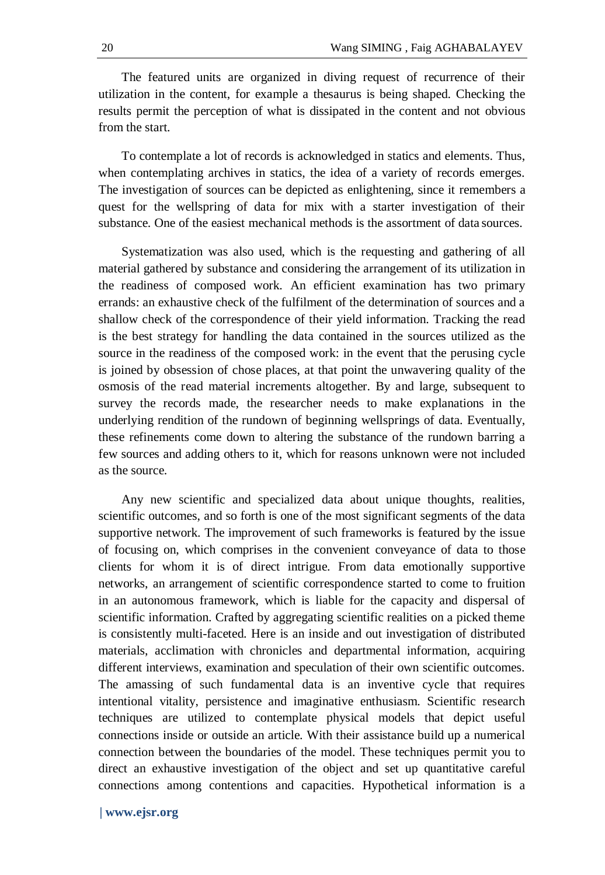The featured units are organized in diving request of recurrence of their utilization in the content, for example a thesaurus is being shaped. Checking the results permit the perception of what is dissipated in the content and not obvious from the start.

To contemplate a lot of records is acknowledged in statics and elements. Thus, when contemplating archives in statics, the idea of a variety of records emerges. The investigation of sources can be depicted as enlightening, since it remembers a quest for the wellspring of data for mix with a starter investigation of their substance. One of the easiest mechanical methods is the assortment of data sources.

Systematization was also used, which is the requesting and gathering of all material gathered by substance and considering the arrangement of its utilization in the readiness of composed work. An efficient examination has two primary errands: an exhaustive check of the fulfilment of the determination of sources and a shallow check of the correspondence of their yield information. Tracking the read is the best strategy for handling the data contained in the sources utilized as the source in the readiness of the composed work: in the event that the perusing cycle is joined by obsession of chose places, at that point the unwavering quality of the osmosis of the read material increments altogether. By and large, subsequent to survey the records made, the researcher needs to make explanations in the underlying rendition of the rundown of beginning wellsprings of data. Eventually, these refinements come down to altering the substance of the rundown barring a few sources and adding others to it, which for reasons unknown were not included as the source.

Any new scientific and specialized data about unique thoughts, realities, scientific outcomes, and so forth is one of the most significant segments of the data supportive network. The improvement of such frameworks is featured by the issue of focusing on, which comprises in the convenient conveyance of data to those clients for whom it is of direct intrigue. From data emotionally supportive networks, an arrangement of scientific correspondence started to come to fruition in an autonomous framework, which is liable for the capacity and dispersal of scientific information. Crafted by aggregating scientific realities on a picked theme is consistently multi-faceted. Here is an inside and out investigation of distributed materials, acclimation with chronicles and departmental information, acquiring different interviews, examination and speculation of their own scientific outcomes. The amassing of such fundamental data is an inventive cycle that requires intentional vitality, persistence and imaginative enthusiasm. Scientific research techniques are utilized to contemplate physical models that depict useful connections inside or outside an article. With their assistance build up a numerical connection between the boundaries of the model. These techniques permit you to direct an exhaustive investigation of the object and set up quantitative careful connections among contentions and capacities. Hypothetical information is a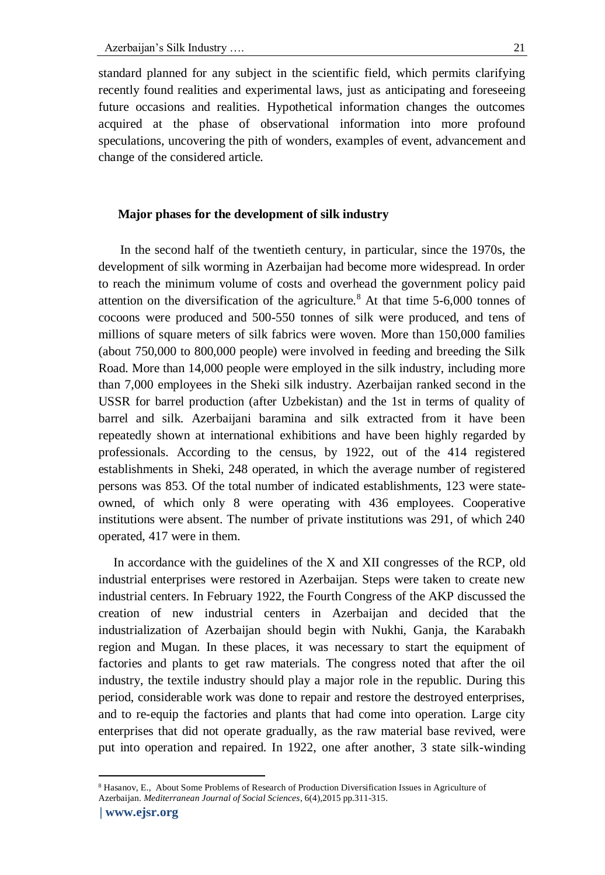standard planned for any subject in the scientific field, which permits clarifying recently found realities and experimental laws, just as anticipating and foreseeing future occasions and realities. Hypothetical information changes the outcomes acquired at the phase of observational information into more profound speculations, uncovering the pith of wonders, examples of event, advancement and change of the considered article.

### **Major phases for the development of silk industry**

 In the second half of the twentieth century, in particular, since the 1970s, the development of silk worming in Azerbaijan had become more widespread. In order to reach the minimum volume of costs and overhead the government policy paid attention on the diversification of the agriculture.<sup>8</sup> At that time  $5-6,000$  tonnes of cocoons were produced and 500-550 tonnes of silk were produced, and tens of millions of square meters of silk fabrics were woven. More than 150,000 families (about 750,000 to 800,000 people) were involved in feeding and breeding the Silk Road. More than 14,000 people were employed in the silk industry, including more than 7,000 employees in the Sheki silk industry. Azerbaijan ranked second in the USSR for barrel production (after Uzbekistan) and the 1st in terms of quality of barrel and silk. Azerbaijani baramina and silk extracted from it have been repeatedly shown at international exhibitions and have been highly regarded by professionals. According to the census, by 1922, out of the 414 registered establishments in Sheki, 248 operated, in which the average number of registered persons was 853. Of the total number of indicated establishments, 123 were stateowned, of which only 8 were operating with 436 employees. Cooperative institutions were absent. The number of private institutions was 291, of which 240 operated, 417 were in them.

In accordance with the guidelines of the X and XII congresses of the RCP, old industrial enterprises were restored in Azerbaijan. Steps were taken to create new industrial centers. In February 1922, the Fourth Congress of the AKP discussed the creation of new industrial centers in Azerbaijan and decided that the industrialization of Azerbaijan should begin with Nukhi, Ganja, the Karabakh region and Mugan. In these places, it was necessary to start the equipment of factories and plants to get raw materials. The congress noted that after the oil industry, the textile industry should play a major role in the republic. During this period, considerable work was done to repair and restore the destroyed enterprises, and to re-equip the factories and plants that had come into operation. Large city enterprises that did not operate gradually, as the raw material base revived, were put into operation and repaired. In 1922, one after another, 3 state silk-winding

<sup>8</sup> Hasanov, E., About Some Problems of Research of Production Diversification Issues in Agriculture of

Azerbaijan. *Mediterranean Journal of Social Sciences*, 6(4),2015 pp.311-315.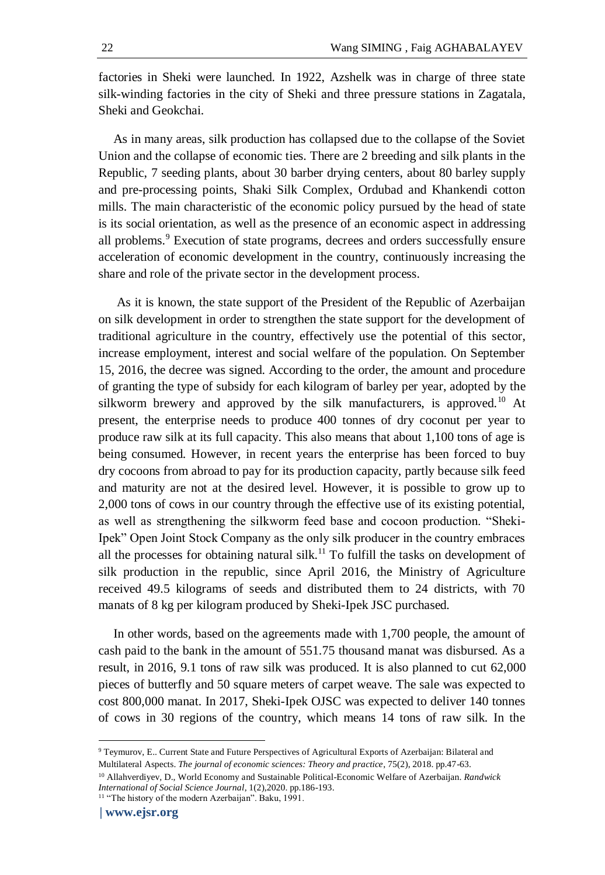factories in Sheki were launched. In 1922, Azshelk was in charge of three state silk-winding factories in the city of Sheki and three pressure stations in Zagatala, Sheki and Geokchai.

As in many areas, silk production has collapsed due to the collapse of the Soviet Union and the collapse of economic ties. There are 2 breeding and silk plants in the Republic, 7 seeding plants, about 30 barber drying centers, about 80 barley supply and pre-processing points, Shaki Silk Complex, Ordubad and Khankendi cotton mills. The main characteristic of the economic policy pursued by the head of state is its social orientation, as well as the presence of an economic aspect in addressing all problems.<sup>9</sup> Execution of state programs, decrees and orders successfully ensure acceleration of economic development in the country, continuously increasing the share and role of the private sector in the development process.

As it is known, the state support of the President of the Republic of Azerbaijan on silk development in order to strengthen the state support for the development of traditional agriculture in the country, effectively use the potential of this sector, increase employment, interest and social welfare of the population. On September 15, 2016, the decree was signed. According to the order, the amount and procedure of granting the type of subsidy for each kilogram of barley per year, adopted by the silkworm brewery and approved by the silk manufacturers, is approved.<sup>10</sup> At present, the enterprise needs to produce 400 tonnes of dry coconut per year to produce raw silk at its full capacity. This also means that about 1,100 tons of age is being consumed. However, in recent years the enterprise has been forced to buy dry cocoons from abroad to pay for its production capacity, partly because silk feed and maturity are not at the desired level. However, it is possible to grow up to 2,000 tons of cows in our country through the effective use of its existing potential, as well as strengthening the silkworm feed base and cocoon production. "Sheki-Ipek" Open Joint Stock Company as the only silk producer in the country embraces all the processes for obtaining natural silk.<sup>11</sup> To fulfill the tasks on development of silk production in the republic, since April 2016, the Ministry of Agriculture received 49.5 kilograms of seeds and distributed them to 24 districts, with 70 manats of 8 kg per kilogram produced by Sheki-Ipek JSC purchased.

In other words, based on the agreements made with 1,700 people, the amount of cash paid to the bank in the amount of 551.75 thousand manat was disbursed. As a result, in 2016, 9.1 tons of raw silk was produced. It is also planned to cut 62,000 pieces of butterfly and 50 square meters of carpet weave. The sale was expected to cost 800,000 manat. In 2017, Sheki-Ipek OJSC was expected to deliver 140 tonnes of cows in 30 regions of the country, which means 14 tons of raw silk. In the

<sup>9</sup> Teymurov, E.. Current State and Future Perspectives of Agricultural Exports of Azerbaijan: Bilateral and Multilateral Aspects. *The journal of economic sciences: Theory and practice*, 75(2), 2018. pp.47-63.

<sup>10</sup> Allahverdiyev, D., World Economy and Sustainable Political-Economic Welfare of Azerbaijan. *Randwick International of Social Science Journal*, 1(2),2020. pp.186-193.

<sup>11</sup> "The history of the modern Azerbaijan". Baku, 1991.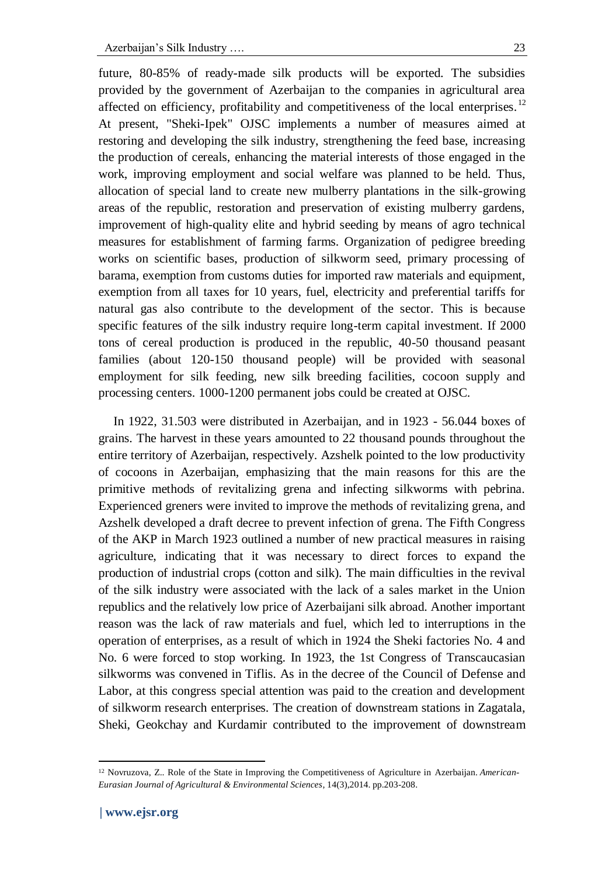future, 80-85% of ready-made silk products will be exported. The subsidies provided by the government of Azerbaijan to the companies in agricultural area affected on efficiency, profitability and competitiveness of the local enterprises.<sup>12</sup> At present, "Sheki-Ipek" OJSC implements a number of measures aimed at restoring and developing the silk industry, strengthening the feed base, increasing the production of cereals, enhancing the material interests of those engaged in the work, improving employment and social welfare was planned to be held. Thus, allocation of special land to create new mulberry plantations in the silk-growing areas of the republic, restoration and preservation of existing mulberry gardens, improvement of high-quality elite and hybrid seeding by means of agro technical measures for establishment of farming farms. Organization of pedigree breeding works on scientific bases, production of silkworm seed, primary processing of barama, exemption from customs duties for imported raw materials and equipment, exemption from all taxes for 10 years, fuel, electricity and preferential tariffs for natural gas also contribute to the development of the sector. This is because specific features of the silk industry require long-term capital investment. If 2000 tons of cereal production is produced in the republic, 40-50 thousand peasant families (about 120-150 thousand people) will be provided with seasonal employment for silk feeding, new silk breeding facilities, cocoon supply and processing centers. 1000-1200 permanent jobs could be created at OJSC.

In 1922, 31.503 were distributed in Azerbaijan, and in 1923 - 56.044 boxes of grains. The harvest in these years amounted to 22 thousand pounds throughout the entire territory of Azerbaijan, respectively. Azshelk pointed to the low productivity of cocoons in Azerbaijan, emphasizing that the main reasons for this are the primitive methods of revitalizing grena and infecting silkworms with pebrina. Experienced greners were invited to improve the methods of revitalizing grena, and Azshelk developed a draft decree to prevent infection of grena. The Fifth Congress of the AKP in March 1923 outlined a number of new practical measures in raising agriculture, indicating that it was necessary to direct forces to expand the production of industrial crops (cotton and silk). The main difficulties in the revival of the silk industry were associated with the lack of a sales market in the Union republics and the relatively low price of Azerbaijani silk abroad. Another important reason was the lack of raw materials and fuel, which led to interruptions in the operation of enterprises, as a result of which in 1924 the Sheki factories No. 4 and No. 6 were forced to stop working. In 1923, the 1st Congress of Transcaucasian silkworms was convened in Tiflis. As in the decree of the Council of Defense and Labor, at this congress special attention was paid to the creation and development of silkworm research enterprises. The creation of downstream stations in Zagatala, Sheki, Geokchay and Kurdamir contributed to the improvement of downstream

<sup>12</sup> Novruzova, Z.. Role of the State in Improving the Competitiveness of Agriculture in Azerbaijan. *American-Eurasian Journal of Agricultural & Environmental Sciences*, 14(3),2014. pp.203-208.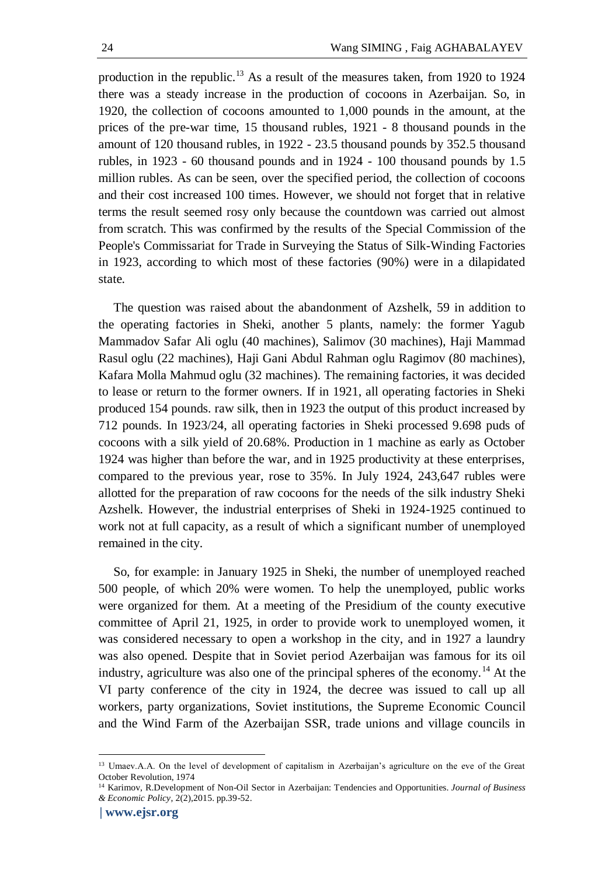production in the republic.<sup>13</sup> As a result of the measures taken, from 1920 to 1924 there was a steady increase in the production of cocoons in Azerbaijan. So, in 1920, the collection of cocoons amounted to 1,000 pounds in the amount, at the prices of the pre-war time, 15 thousand rubles, 1921 - 8 thousand pounds in the amount of 120 thousand rubles, in 1922 - 23.5 thousand pounds by 352.5 thousand rubles, in 1923 - 60 thousand pounds and in 1924 - 100 thousand pounds by 1.5 million rubles. As can be seen, over the specified period, the collection of cocoons and their cost increased 100 times. However, we should not forget that in relative terms the result seemed rosy only because the countdown was carried out almost from scratch. This was confirmed by the results of the Special Commission of the People's Commissariat for Trade in Surveying the Status of Silk-Winding Factories in 1923, according to which most of these factories (90%) were in a dilapidated state.

The question was raised about the abandonment of Azshelk, 59 in addition to the operating factories in Sheki, another 5 plants, namely: the former Yagub Mammadov Safar Ali oglu (40 machines), Salimov (30 machines), Haji Mammad Rasul oglu (22 machines), Haji Gani Abdul Rahman oglu Ragimov (80 machines), Kafara Molla Mahmud oglu (32 machines). The remaining factories, it was decided to lease or return to the former owners. If in 1921, all operating factories in Sheki produced 154 pounds. raw silk, then in 1923 the output of this product increased by 712 pounds. In 1923/24, all operating factories in Sheki processed 9.698 puds of cocoons with a silk yield of 20.68%. Production in 1 machine as early as October 1924 was higher than before the war, and in 1925 productivity at these enterprises, compared to the previous year, rose to 35%. In July 1924, 243,647 rubles were allotted for the preparation of raw cocoons for the needs of the silk industry Sheki Azshelk. However, the industrial enterprises of Sheki in 1924-1925 continued to work not at full capacity, as a result of which a significant number of unemployed remained in the city.

So, for example: in January 1925 in Sheki, the number of unemployed reached 500 people, of which 20% were women. To help the unemployed, public works were organized for them. At a meeting of the Presidium of the county executive committee of April 21, 1925, in order to provide work to unemployed women, it was considered necessary to open a workshop in the city, and in 1927 a laundry was also opened. Despite that in Soviet period Azerbaijan was famous for its oil industry, agriculture was also one of the principal spheres of the economy.<sup>14</sup> At the VI party conference of the city in 1924, the decree was issued to call up all workers, party organizations, Soviet institutions, the Supreme Economic Council and the Wind Farm of the Azerbaijan SSR, trade unions and village councils in

<sup>13</sup> Umaev.A.A. On the level of development of capitalism in Azerbaijan's agriculture on the eve of the Great October Revolution, 1974

<sup>14</sup> Karimov, R.Development of Non-Oil Sector in Azerbaijan: Tendencies and Opportunities. *Journal of Business & Economic Policy*, 2(2),2015. pp.39-52.

**<sup>|</sup> [www.ejsr.org](http://www.ejsr.org/)**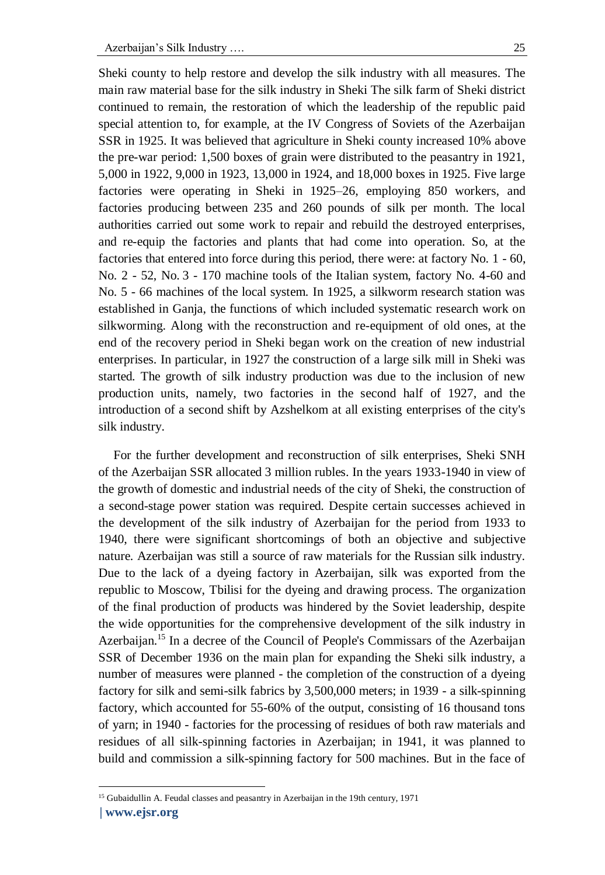Sheki county to help restore and develop the silk industry with all measures. The main raw material base for the silk industry in Sheki The silk farm of Sheki district continued to remain, the restoration of which the leadership of the republic paid special attention to, for example, at the IV Congress of Soviets of the Azerbaijan SSR in 1925. It was believed that agriculture in Sheki county increased 10% above the pre-war period: 1,500 boxes of grain were distributed to the peasantry in 1921, 5,000 in 1922, 9,000 in 1923, 13,000 in 1924, and 18,000 boxes in 1925. Five large factories were operating in Sheki in 1925–26, employing 850 workers, and factories producing between 235 and 260 pounds of silk per month. The local authorities carried out some work to repair and rebuild the destroyed enterprises, and re-equip the factories and plants that had come into operation. So, at the factories that entered into force during this period, there were: at factory No. 1 - 60, No. 2 - 52, No. 3 - 170 machine tools of the Italian system, factory No. 4-60 and No. 5 - 66 machines of the local system. In 1925, a silkworm research station was established in Ganja, the functions of which included systematic research work on silkworming. Along with the reconstruction and re-equipment of old ones, at the end of the recovery period in Sheki began work on the creation of new industrial enterprises. In particular, in 1927 the construction of a large silk mill in Sheki was started. The growth of silk industry production was due to the inclusion of new production units, namely, two factories in the second half of 1927, and the introduction of a second shift by Azshelkom at all existing enterprises of the city's silk industry.

For the further development and reconstruction of silk enterprises, Sheki SNH of the Azerbaijan SSR allocated 3 million rubles. In the years 1933-1940 in view of the growth of domestic and industrial needs of the city of Sheki, the construction of a second-stage power station was required. Despite certain successes achieved in the development of the silk industry of Azerbaijan for the period from 1933 to 1940, there were significant shortcomings of both an objective and subjective nature. Azerbaijan was still a source of raw materials for the Russian silk industry. Due to the lack of a dyeing factory in Azerbaijan, silk was exported from the republic to Moscow, Tbilisi for the dyeing and drawing process. The organization of the final production of products was hindered by the Soviet leadership, despite the wide opportunities for the comprehensive development of the silk industry in Azerbaijan.<sup>15</sup> In a decree of the Council of People's Commissars of the Azerbaijan SSR of December 1936 on the main plan for expanding the Sheki silk industry, a number of measures were planned - the completion of the construction of a dyeing factory for silk and semi-silk fabrics by 3,500,000 meters; in 1939 - a silk-spinning factory, which accounted for 55-60% of the output, consisting of 16 thousand tons of yarn; in 1940 - factories for the processing of residues of both raw materials and residues of all silk-spinning factories in Azerbaijan; in 1941, it was planned to build and commission a silk-spinning factory for 500 machines. But in the face of

<sup>&</sup>lt;sup>15</sup> Gubaidullin A. Feudal classes and peasantry in Azerbaijan in the 19th century, 1971

**<sup>|</sup> [www.ejsr.org](http://www.ejsr.org/)**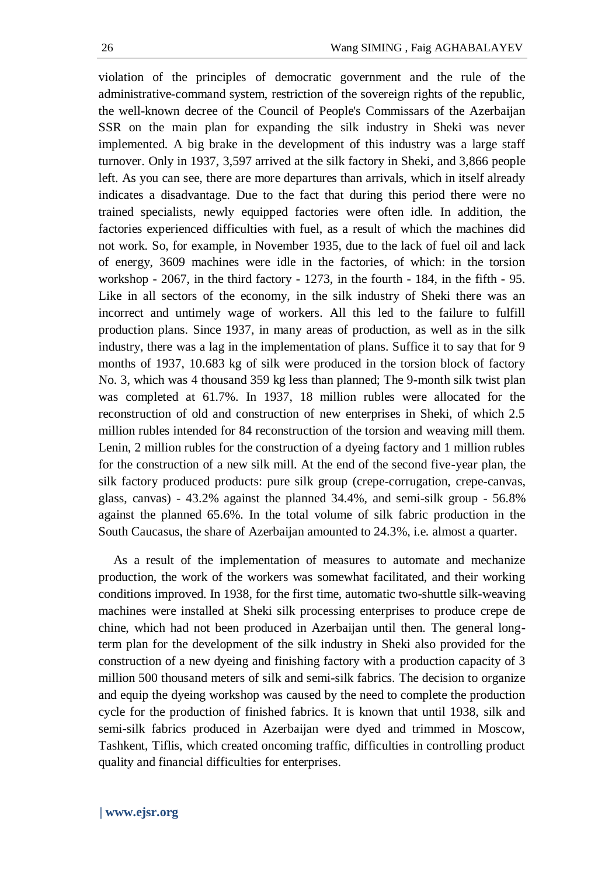violation of the principles of democratic government and the rule of the administrative-command system, restriction of the sovereign rights of the republic, the well-known decree of the Council of People's Commissars of the Azerbaijan SSR on the main plan for expanding the silk industry in Sheki was never implemented. A big brake in the development of this industry was a large staff turnover. Only in 1937, 3,597 arrived at the silk factory in Sheki, and 3,866 people left. As you can see, there are more departures than arrivals, which in itself already indicates a disadvantage. Due to the fact that during this period there were no trained specialists, newly equipped factories were often idle. In addition, the factories experienced difficulties with fuel, as a result of which the machines did not work. So, for example, in November 1935, due to the lack of fuel oil and lack of energy, 3609 machines were idle in the factories, of which: in the torsion workshop - 2067, in the third factory - 1273, in the fourth - 184, in the fifth - 95. Like in all sectors of the economy, in the silk industry of Sheki there was an incorrect and untimely wage of workers. All this led to the failure to fulfill production plans. Since 1937, in many areas of production, as well as in the silk industry, there was a lag in the implementation of plans. Suffice it to say that for 9 months of 1937, 10.683 kg of silk were produced in the torsion block of factory No. 3, which was 4 thousand 359 kg less than planned; The 9-month silk twist plan was completed at 61.7%. In 1937, 18 million rubles were allocated for the reconstruction of old and construction of new enterprises in Sheki, of which 2.5 million rubles intended for 84 reconstruction of the torsion and weaving mill them. Lenin, 2 million rubles for the construction of a dyeing factory and 1 million rubles for the construction of a new silk mill. At the end of the second five-year plan, the silk factory produced products: pure silk group (crepe-corrugation, crepe-canvas, glass, canvas) - 43.2% against the planned 34.4%, and semi-silk group - 56.8% against the planned 65.6%. In the total volume of silk fabric production in the South Caucasus, the share of Azerbaijan amounted to 24.3%, i.e. almost a quarter.

As a result of the implementation of measures to automate and mechanize production, the work of the workers was somewhat facilitated, and their working conditions improved. In 1938, for the first time, automatic two-shuttle silk-weaving machines were installed at Sheki silk processing enterprises to produce crepe de chine, which had not been produced in Azerbaijan until then. The general longterm plan for the development of the silk industry in Sheki also provided for the construction of a new dyeing and finishing factory with a production capacity of 3 million 500 thousand meters of silk and semi-silk fabrics. The decision to organize and equip the dyeing workshop was caused by the need to complete the production cycle for the production of finished fabrics. It is known that until 1938, silk and semi-silk fabrics produced in Azerbaijan were dyed and trimmed in Moscow, Tashkent, Tiflis, which created oncoming traffic, difficulties in controlling product quality and financial difficulties for enterprises.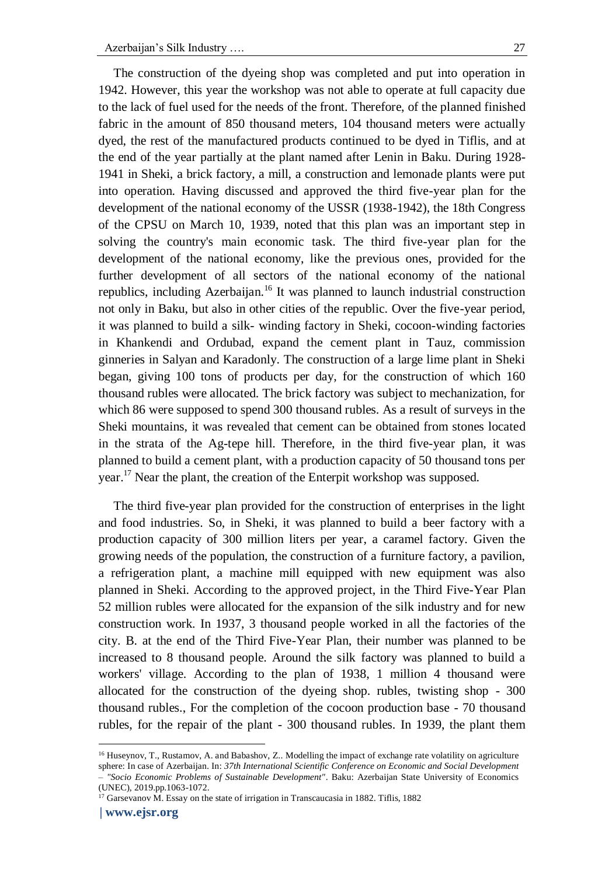The construction of the dyeing shop was completed and put into operation in 1942. However, this year the workshop was not able to operate at full capacity due to the lack of fuel used for the needs of the front. Therefore, of the planned finished fabric in the amount of 850 thousand meters, 104 thousand meters were actually dyed, the rest of the manufactured products continued to be dyed in Tiflis, and at the end of the year partially at the plant named after Lenin in Baku. During 1928- 1941 in Sheki, a brick factory, a mill, a construction and lemonade plants were put into operation. Having discussed and approved the third five-year plan for the development of the national economy of the USSR (1938-1942), the 18th Congress of the CPSU on March 10, 1939, noted that this plan was an important step in solving the country's main economic task. The third five-year plan for the development of the national economy, like the previous ones, provided for the further development of all sectors of the national economy of the national republics, including Azerbaijan.<sup>16</sup> It was planned to launch industrial construction not only in Baku, but also in other cities of the republic. Over the five-year period, it was planned to build a silk- winding factory in Sheki, cocoon-winding factories in Khankendi and Ordubad, expand the cement plant in Tauz, commission ginneries in Salyan and Karadonly. The construction of a large lime plant in Sheki began, giving 100 tons of products per day, for the construction of which 160 thousand rubles were allocated. The brick factory was subject to mechanization, for which 86 were supposed to spend 300 thousand rubles. As a result of surveys in the Sheki mountains, it was revealed that cement can be obtained from stones located in the strata of the Ag-tepe hill. Therefore, in the third five-year plan, it was planned to build a cement plant, with a production capacity of 50 thousand tons per year.<sup>17</sup> Near the plant, the creation of the Enterpit workshop was supposed.

The third five-year plan provided for the construction of enterprises in the light and food industries. So, in Sheki, it was planned to build a beer factory with a production capacity of 300 million liters per year, a caramel factory. Given the growing needs of the population, the construction of a furniture factory, a pavilion, a refrigeration plant, a machine mill equipped with new equipment was also planned in Sheki. According to the approved project, in the Third Five-Year Plan 52 million rubles were allocated for the expansion of the silk industry and for new construction work. In 1937, 3 thousand people worked in all the factories of the city. B. at the end of the Third Five-Year Plan, their number was planned to be increased to 8 thousand people. Around the silk factory was planned to build a workers' village. According to the plan of 1938, 1 million 4 thousand were allocated for the construction of the dyeing shop. rubles, twisting shop - 300 thousand rubles., For the completion of the cocoon production base - 70 thousand rubles, for the repair of the plant - 300 thousand rubles. In 1939, the plant them

<sup>16</sup> Huseynov, T., Rustamov, A. and Babashov, Z.. Modelling the impact of exchange rate volatility on agriculture sphere: In case of Azerbaijan. In: *37th International Scientific Conference on Economic and Social Development – "Socio Economic Problems of Sustainable Development"*. Baku: Azerbaijan State University of Economics (UNEC), 2019.pp.1063-1072.

<sup>&</sup>lt;sup>17</sup> Garsevanov M. Essay on the state of irrigation in Transcaucasia in 1882. Tiflis, 1882

**<sup>|</sup> [www.ejsr.org](http://www.ejsr.org/)**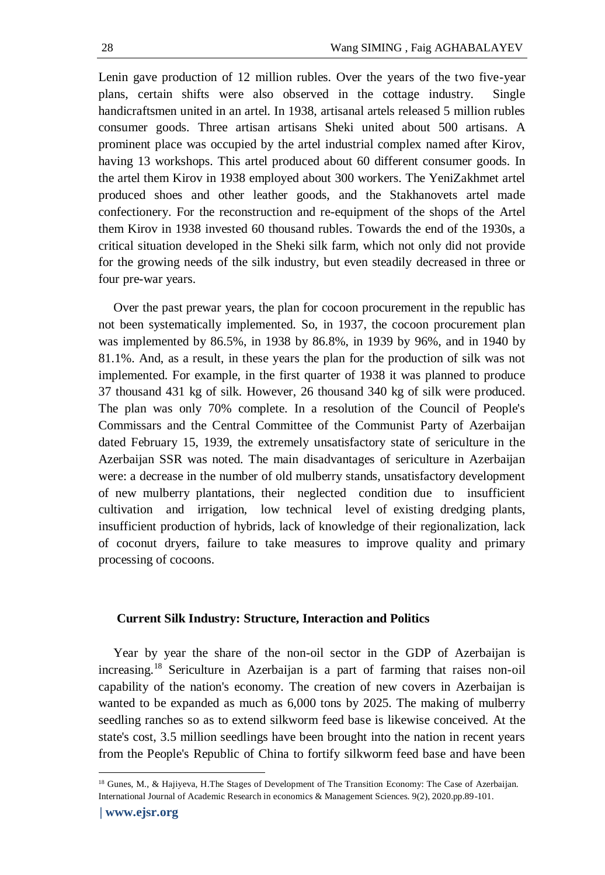Lenin gave production of 12 million rubles. Over the years of the two five-year plans, certain shifts were also observed in the cottage industry. Single handicraftsmen united in an artel. In 1938, artisanal artels released 5 million rubles consumer goods. Three artisan artisans Sheki united about 500 artisans. A prominent place was occupied by the artel industrial complex named after Kirov, having 13 workshops. This artel produced about 60 different consumer goods. In the artel them Kirov in 1938 employed about 300 workers. The YeniZakhmet artel produced shoes and other leather goods, and the Stakhanovets artel made confectionery. For the reconstruction and re-equipment of the shops of the Artel them Kirov in 1938 invested 60 thousand rubles. Towards the end of the 1930s, a critical situation developed in the Sheki silk farm, which not only did not provide for the growing needs of the silk industry, but even steadily decreased in three or four pre-war years.

Over the past prewar years, the plan for cocoon procurement in the republic has not been systematically implemented. So, in 1937, the cocoon procurement plan was implemented by 86.5%, in 1938 by 86.8%, in 1939 by 96%, and in 1940 by 81.1%. And, as a result, in these years the plan for the production of silk was not implemented. For example, in the first quarter of 1938 it was planned to produce 37 thousand 431 kg of silk. However, 26 thousand 340 kg of silk were produced. The plan was only 70% complete. In a resolution of the Council of People's Commissars and the Central Committee of the Communist Party of Azerbaijan dated February 15, 1939, the extremely unsatisfactory state of sericulture in the Azerbaijan SSR was noted. The main disadvantages of sericulture in Azerbaijan were: a decrease in the number of old mulberry stands, unsatisfactory development of new mulberry plantations, their neglected condition due to insufficient cultivation and irrigation, low technical level of existing dredging plants, insufficient production of hybrids, lack of knowledge of their regionalization, lack of coconut dryers, failure to take measures to improve quality and primary processing of cocoons.

#### **Current Silk Industry: Structure, Interaction and Politics**

Year by year the share of the non-oil sector in the GDP of Azerbaijan is increasing.<sup>18</sup> Sericulture in Azerbaijan is a part of farming that raises non-oil capability of the nation's economy. The creation of new covers in Azerbaijan is wanted to be expanded as much as 6,000 tons by 2025. The making of mulberry seedling ranches so as to extend silkworm feed base is likewise conceived. At the state's cost, 3.5 million seedlings have been brought into the nation in recent years from the People's Republic of China to fortify silkworm feed base and have been

<sup>&</sup>lt;sup>18</sup> Gunes, M., & Hajiyeva, H.The Stages of Development of The Transition Economy: The Case of Azerbaijan. International Journal of Academic Research in economics & Management Sciences. 9(2), 2020.pp.89-101.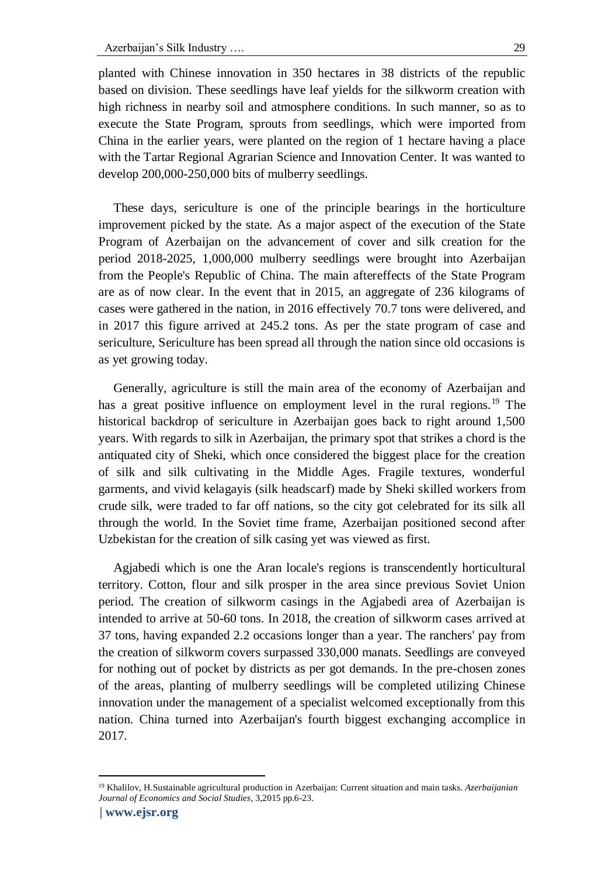planted with Chinese innovation in 350 hectares in 38 districts of the republic based on division. These seedlings have leaf yields for the silkworm creation with high richness in nearby soil and atmosphere conditions. In such manner, so as to execute the State Program, sprouts from seedlings, which were imported from China in the earlier years, were planted on the region of 1 hectare having a place with the Tartar Regional Agrarian Science and Innovation Center. It was wanted to develop 200,000-250,000 bits of mulberry seedlings.

These days, sericulture is one of the principle bearings in the horticulture improvement picked by the state. As a major aspect of the execution of the State Program of Azerbaijan on the advancement of cover and silk creation for the period 2018-2025, 1,000,000 mulberry seedlings were brought into Azerbaijan from the People's Republic of China. The main aftereffects of the State Program are as of now clear. In the event that in 2015, an aggregate of 236 kilograms of cases were gathered in the nation, in 2016 effectively 70.7 tons were delivered, and in 2017 this figure arrived at 245.2 tons. As per the state program of case and sericulture, Sericulture has been spread all through the nation since old occasions is as yet growing today.

Generally, agriculture is still the main area of the economy of Azerbaijan and has a great positive influence on employment level in the rural regions.<sup>19</sup> The historical backdrop of sericulture in Azerbaijan goes back to right around 1,500 years. With regards to silk in Azerbaijan, the primary spot that strikes a chord is the antiquated city of Sheki, which once considered the biggest place for the creation of silk and silk cultivating in the Middle Ages. Fragile textures, wonderful garments, and vivid kelagayis (silk headscarf) made by Sheki skilled workers from crude silk, were traded to far off nations, so the city got celebrated for its silk all through the world. In the Soviet time frame, Azerbaijan positioned second after Uzbekistan for the creation of silk casing yet was viewed as first.

Agjabedi which is one the Aran locale's regions is transcendently horticultural territory. Cotton, flour and silk prosper in the area since previous Soviet Union period. The creation of silkworm casings in the Agjabedi area of Azerbaijan is intended to arrive at 50-60 tons. In 2018, the creation of silkworm cases arrived at 37 tons, having expanded 2.2 occasions longer than a year. The ranchers' pay from the creation of silkworm covers surpassed 330,000 manats. Seedlings are conveyed for nothing out of pocket by districts as per got demands. In the pre-chosen zones of the areas, planting of mulberry seedlings will be completed utilizing Chinese innovation under the management of a specialist welcomed exceptionally from this nation. China turned into Azerbaijan's fourth biggest exchanging accomplice in 2017.

<sup>19</sup> Khalilov, H.Sustainable agricultural production in Azerbaijan: Current situation and main tasks. *Azerbaijanian Journal of Economics and Social Studies*, 3,2015 pp.6-23.

**<sup>|</sup> [www.ejsr.org](http://www.ejsr.org/)**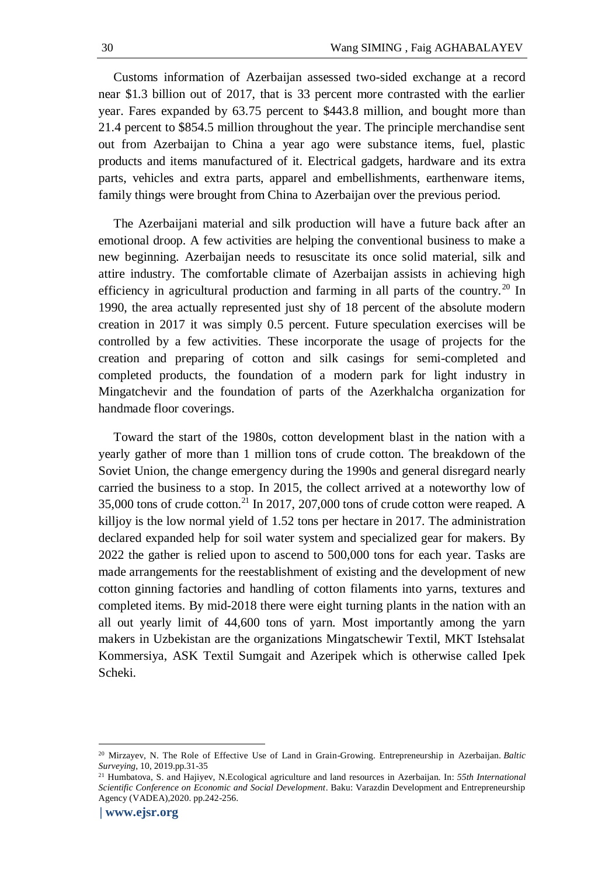Customs information of Azerbaijan assessed two-sided exchange at a record near \$1.3 billion out of 2017, that is 33 percent more contrasted with the earlier year. Fares expanded by 63.75 percent to \$443.8 million, and bought more than 21.4 percent to \$854.5 million throughout the year. The principle merchandise sent out from Azerbaijan to China a year ago were substance items, fuel, plastic products and items manufactured of it. Electrical gadgets, hardware and its extra parts, vehicles and extra parts, apparel and embellishments, earthenware items, family things were brought from China to Azerbaijan over the previous period.

The Azerbaijani material and silk production will have a future back after an emotional droop. A few activities are helping the conventional business to make a new beginning. Azerbaijan needs to resuscitate its once solid material, silk and attire industry. The comfortable climate of Azerbaijan assists in achieving high efficiency in agricultural production and farming in all parts of the country.<sup>20</sup> In 1990, the area actually represented just shy of 18 percent of the absolute modern creation in 2017 it was simply 0.5 percent. Future speculation exercises will be controlled by a few activities. These incorporate the usage of projects for the creation and preparing of cotton and silk casings for semi-completed and completed products, the foundation of a modern park for light industry in Mingatchevir and the foundation of parts of the Azerkhalcha organization for handmade floor coverings.

Toward the start of the 1980s, cotton development blast in the nation with a yearly gather of more than 1 million tons of crude cotton. The breakdown of the Soviet Union, the change emergency during the 1990s and general disregard nearly carried the business to a stop. In 2015, the collect arrived at a noteworthy low of 35,000 tons of crude cotton.<sup>21</sup> In 2017, 207,000 tons of crude cotton were reaped. A killjoy is the low normal yield of 1.52 tons per hectare in 2017. The administration declared expanded help for soil water system and specialized gear for makers. By 2022 the gather is relied upon to ascend to 500,000 tons for each year. Tasks are made arrangements for the reestablishment of existing and the development of new cotton ginning factories and handling of cotton filaments into yarns, textures and completed items. By mid-2018 there were eight turning plants in the nation with an all out yearly limit of 44,600 tons of yarn. Most importantly among the yarn makers in Uzbekistan are the organizations Mingatschewir Textil, MKT Istehsalat Kommersiya, ASK Textil Sumgait and Azeripek which is otherwise called Ipek Scheki.

<sup>20</sup> Mirzayev, N. The Role of Effective Use of Land in Grain-Growing. Entrepreneurship in Azerbaijan. *Baltic Surveying*, 10, 2019.pp.31-35

<sup>21</sup> Humbatova, S. and Hajiyev, N.Ecological agriculture and land resources in Azerbaijan. In: *55th International Scientific Conference on Economic and Social Development*. Baku: Varazdin Development and Entrepreneurship Agency (VADEA),2020. pp.242-256.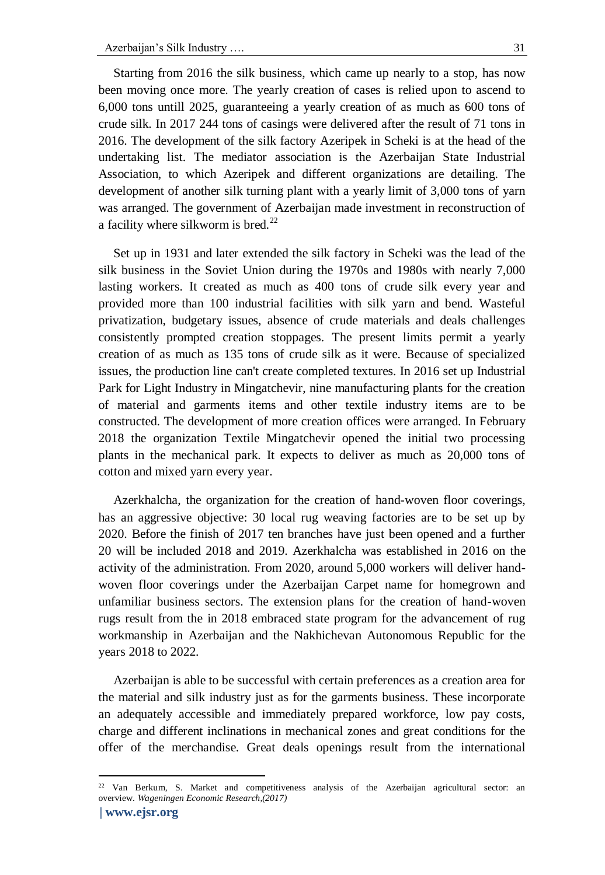Starting from 2016 the silk business, which came up nearly to a stop, has now been moving once more. The yearly creation of cases is relied upon to ascend to 6,000 tons untill 2025, guaranteeing a yearly creation of as much as 600 tons of crude silk. In 2017 244 tons of casings were delivered after the result of 71 tons in 2016. The development of the silk factory Azeripek in Scheki is at the head of the undertaking list. The mediator association is the Azerbaijan State Industrial Association, to which Azeripek and different organizations are detailing. The development of another silk turning plant with a yearly limit of 3,000 tons of yarn was arranged. The government of Azerbaijan made investment in reconstruction of a facility where silkworm is bred.<sup>22</sup>

Set up in 1931 and later extended the silk factory in Scheki was the lead of the silk business in the Soviet Union during the 1970s and 1980s with nearly 7,000 lasting workers. It created as much as 400 tons of crude silk every year and provided more than 100 industrial facilities with silk yarn and bend. Wasteful privatization, budgetary issues, absence of crude materials and deals challenges consistently prompted creation stoppages. The present limits permit a yearly creation of as much as 135 tons of crude silk as it were. Because of specialized issues, the production line can't create completed textures. In 2016 set up Industrial Park for Light Industry in Mingatchevir, nine manufacturing plants for the creation of material and garments items and other textile industry items are to be constructed. The development of more creation offices were arranged. In February 2018 the organization Textile Mingatchevir opened the initial two processing plants in the mechanical park. It expects to deliver as much as 20,000 tons of cotton and mixed yarn every year.

Azerkhalcha, the organization for the creation of hand-woven floor coverings, has an aggressive objective: 30 local rug weaving factories are to be set up by 2020. Before the finish of 2017 ten branches have just been opened and a further 20 will be included 2018 and 2019. Azerkhalcha was established in 2016 on the activity of the administration. From 2020, around 5,000 workers will deliver handwoven floor coverings under the Azerbaijan Carpet name for homegrown and unfamiliar business sectors. The extension plans for the creation of hand-woven rugs result from the in 2018 embraced state program for the advancement of rug workmanship in Azerbaijan and the Nakhichevan Autonomous Republic for the years 2018 to 2022.

Azerbaijan is able to be successful with certain preferences as a creation area for the material and silk industry just as for the garments business. These incorporate an adequately accessible and immediately prepared workforce, low pay costs, charge and different inclinations in mechanical zones and great conditions for the offer of the merchandise. Great deals openings result from the international

<sup>22</sup> Van Berkum, S. Market and competitiveness analysis of the Azerbaijan agricultural sector: an overview. *Wageningen Economic Research,(2017)*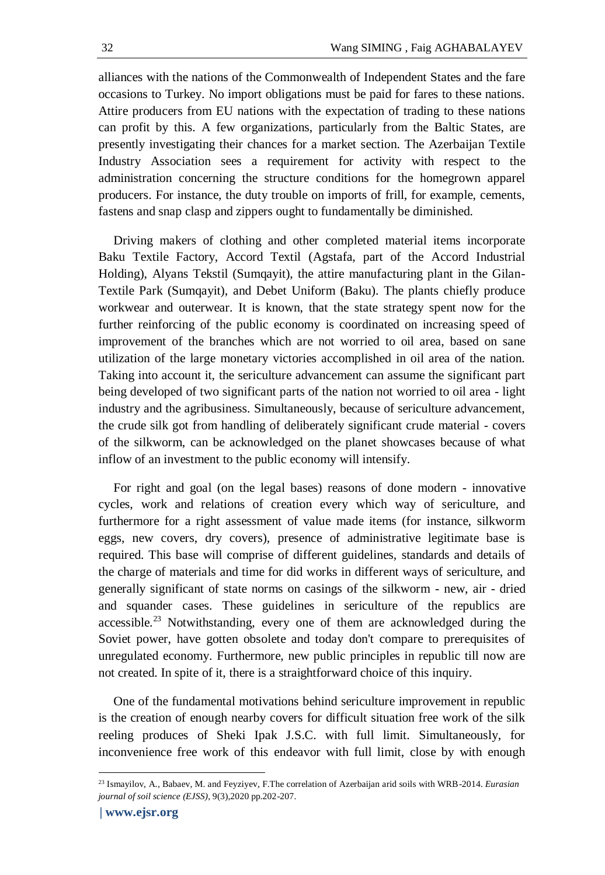alliances with the nations of the Commonwealth of Independent States and the fare occasions to Turkey. No import obligations must be paid for fares to these nations. Attire producers from EU nations with the expectation of trading to these nations can profit by this. A few organizations, particularly from the Baltic States, are presently investigating their chances for a market section. The Azerbaijan Textile Industry Association sees a requirement for activity with respect to the administration concerning the structure conditions for the homegrown apparel producers. For instance, the duty trouble on imports of frill, for example, cements, fastens and snap clasp and zippers ought to fundamentally be diminished.

Driving makers of clothing and other completed material items incorporate Baku Textile Factory, Accord Textil (Agstafa, part of the Accord Industrial Holding), Alyans Tekstil (Sumqayit), the attire manufacturing plant in the Gilan-Textile Park (Sumqayit), and Debet Uniform (Baku). The plants chiefly produce workwear and outerwear. It is known, that the state strategy spent now for the further reinforcing of the public economy is coordinated on increasing speed of improvement of the branches which are not worried to oil area, based on sane utilization of the large monetary victories accomplished in oil area of the nation. Taking into account it, the sericulture advancement can assume the significant part being developed of two significant parts of the nation not worried to oil area - light industry and the agribusiness. Simultaneously, because of sericulture advancement, the crude silk got from handling of deliberately significant crude material - covers of the silkworm, can be acknowledged on the planet showcases because of what inflow of an investment to the public economy will intensify.

For right and goal (on the legal bases) reasons of done modern - innovative cycles, work and relations of creation every which way of sericulture, and furthermore for a right assessment of value made items (for instance, silkworm eggs, new covers, dry covers), presence of administrative legitimate base is required. This base will comprise of different guidelines, standards and details of the charge of materials and time for did works in different ways of sericulture, and generally significant of state norms on casings of the silkworm - new, air - dried and squander cases. These guidelines in sericulture of the republics are accessible.<sup>23</sup> Notwithstanding, every one of them are acknowledged during the Soviet power, have gotten obsolete and today don't compare to prerequisites of unregulated economy. Furthermore, new public principles in republic till now are not created. In spite of it, there is a straightforward choice of this inquiry.

One of the fundamental motivations behind sericulture improvement in republic is the creation of enough nearby covers for difficult situation free work of the silk reeling produces of Sheki Ipak J.S.C. with full limit. Simultaneously, for inconvenience free work of this endeavor with full limit, close by with enough

<sup>23</sup> Ismayilov, A., Babaev, M. and Feyziyev, F.The correlation of Azerbaijan arid soils with WRB-2014. *Eurasian journal of soil science (EJSS)*, 9(3),2020 pp.202-207.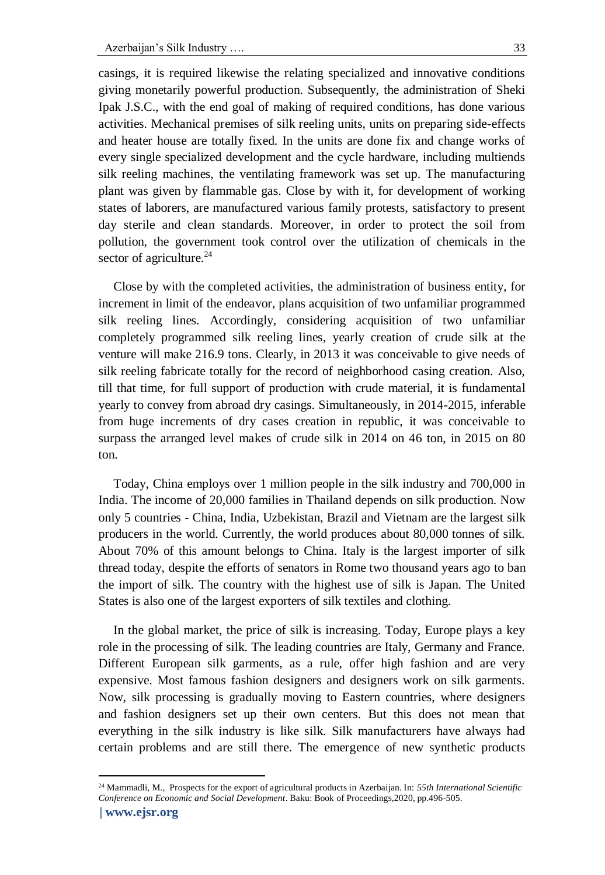casings, it is required likewise the relating specialized and innovative conditions giving monetarily powerful production. Subsequently, the administration of Sheki Ipak J.S.C., with the end goal of making of required conditions, has done various activities. Mechanical premises of silk reeling units, units on preparing side-effects and heater house are totally fixed. In the units are done fix and change works of every single specialized development and the cycle hardware, including multiends silk reeling machines, the ventilating framework was set up. The manufacturing plant was given by flammable gas. Close by with it, for development of working states of laborers, are manufactured various family protests, satisfactory to present day sterile and clean standards. Moreover, in order to protect the soil from pollution, the government took control over the utilization of chemicals in the sector of agriculture. $^{24}$ 

Close by with the completed activities, the administration of business entity, for increment in limit of the endeavor, plans acquisition of two unfamiliar programmed silk reeling lines. Accordingly, considering acquisition of two unfamiliar completely programmed silk reeling lines, yearly creation of crude silk at the venture will make 216.9 tons. Clearly, in 2013 it was conceivable to give needs of silk reeling fabricate totally for the record of neighborhood casing creation. Also, till that time, for full support of production with crude material, it is fundamental yearly to convey from abroad dry casings. Simultaneously, in 2014-2015, inferable from huge increments of dry cases creation in republic, it was conceivable to surpass the arranged level makes of crude silk in 2014 on 46 ton, in 2015 on 80 ton.

Today, China employs over 1 million people in the silk industry and 700,000 in India. The income of 20,000 families in Thailand depends on silk production. Now only 5 countries - China, India, Uzbekistan, Brazil and Vietnam are the largest silk producers in the world. Currently, the world produces about 80,000 tonnes of silk. About 70% of this amount belongs to China. Italy is the largest importer of silk thread today, despite the efforts of senators in Rome two thousand years ago to ban the import of silk. The country with the highest use of silk is Japan. The United States is also one of the largest exporters of silk textiles and clothing.

In the global market, the price of silk is increasing. Today, Europe plays a key role in the processing of silk. The leading countries are Italy, Germany and France. Different European silk garments, as a rule, offer high fashion and are very expensive. Most famous fashion designers and designers work on silk garments. Now, silk processing is gradually moving to Eastern countries, where designers and fashion designers set up their own centers. But this does not mean that everything in the silk industry is like silk. Silk manufacturers have always had certain problems and are still there. The emergence of new synthetic products

<sup>24</sup> Mammadli, M., Prospects for the export of agricultural products in Azerbaijan. In: *55th International Scientific Conference on Economic and Social Development*. Baku: Book of Proceedings,2020, pp.496-505.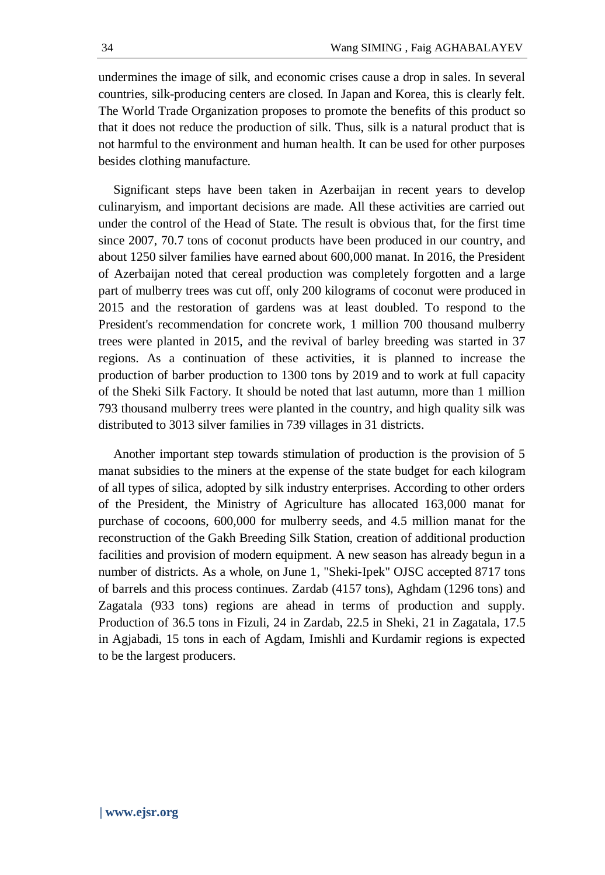undermines the image of silk, and economic crises cause a drop in sales. In several countries, silk-producing centers are closed. In Japan and Korea, this is clearly felt. The World Trade Organization proposes to promote the benefits of this product so that it does not reduce the production of silk. Thus, silk is a natural product that is not harmful to the environment and human health. It can be used for other purposes besides clothing manufacture.

Significant steps have been taken in Azerbaijan in recent years to develop culinaryism, and important decisions are made. All these activities are carried out under the control of the Head of State. The result is obvious that, for the first time since 2007, 70.7 tons of coconut products have been produced in our country, and about 1250 silver families have earned about 600,000 manat. In 2016, the President of Azerbaijan noted that cereal production was completely forgotten and a large part of mulberry trees was cut off, only 200 kilograms of coconut were produced in 2015 and the restoration of gardens was at least doubled. To respond to the President's recommendation for concrete work, 1 million 700 thousand mulberry trees were planted in 2015, and the revival of barley breeding was started in 37 regions. As a continuation of these activities, it is planned to increase the production of barber production to 1300 tons by 2019 and to work at full capacity of the Sheki Silk Factory. It should be noted that last autumn, more than 1 million 793 thousand mulberry trees were planted in the country, and high quality silk was distributed to 3013 silver families in 739 villages in 31 districts.

Another important step towards stimulation of production is the provision of 5 manat subsidies to the miners at the expense of the state budget for each kilogram of all types of silica, adopted by silk industry enterprises. According to other orders of the President, the Ministry of Agriculture has allocated 163,000 manat for purchase of cocoons, 600,000 for mulberry seeds, and 4.5 million manat for the reconstruction of the Gakh Breeding Silk Station, creation of additional production facilities and provision of modern equipment. A new season has already begun in a number of districts. As a whole, on June 1, "Sheki-Ipek" OJSC accepted 8717 tons of barrels and this process continues. Zardab (4157 tons), Aghdam (1296 tons) and Zagatala (933 tons) regions are ahead in terms of production and supply. Production of 36.5 tons in Fizuli, 24 in Zardab, 22.5 in Sheki, 21 in Zagatala, 17.5 in Agjabadi, 15 tons in each of Agdam, Imishli and Kurdamir regions is expected to be the largest producers.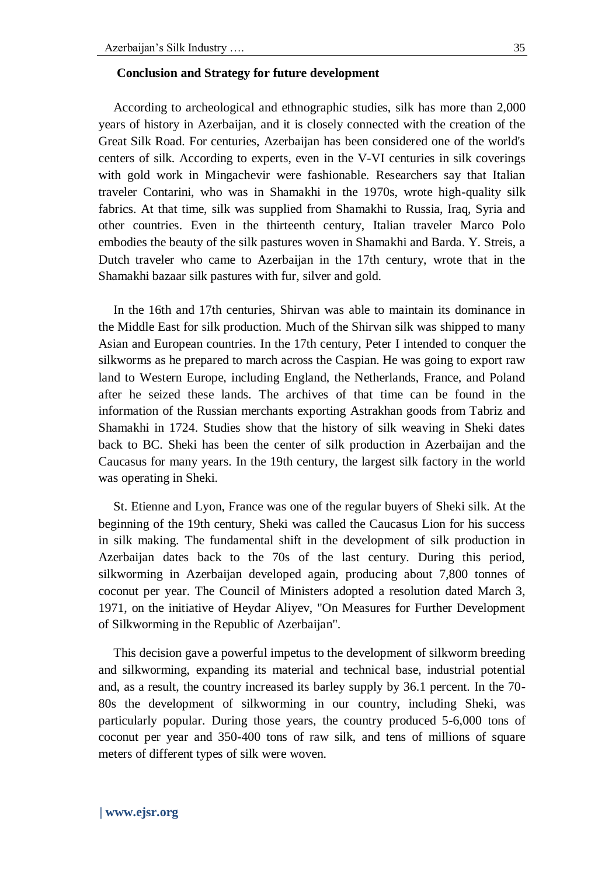#### **Conclusion and Strategy for future development**

According to archeological and ethnographic studies, silk has more than 2,000 years of history in Azerbaijan, and it is closely connected with the creation of the Great Silk Road. For centuries, Azerbaijan has been considered one of the world's centers of silk. According to experts, even in the V-VI centuries in silk coverings with gold work in Mingachevir were fashionable. Researchers say that Italian traveler Contarini, who was in Shamakhi in the 1970s, wrote high-quality silk fabrics. At that time, silk was supplied from Shamakhi to Russia, Iraq, Syria and other countries. Even in the thirteenth century, Italian traveler Marco Polo embodies the beauty of the silk pastures woven in Shamakhi and Barda. Y. Streis, a Dutch traveler who came to Azerbaijan in the 17th century, wrote that in the Shamakhi bazaar silk pastures with fur, silver and gold.

In the 16th and 17th centuries, Shirvan was able to maintain its dominance in the Middle East for silk production. Much of the Shirvan silk was shipped to many Asian and European countries. In the 17th century, Peter I intended to conquer the silkworms as he prepared to march across the Caspian. He was going to export raw land to Western Europe, including England, the Netherlands, France, and Poland after he seized these lands. The archives of that time can be found in the information of the Russian merchants exporting Astrakhan goods from Tabriz and Shamakhi in 1724. Studies show that the history of silk weaving in Sheki dates back to BC. Sheki has been the center of silk production in Azerbaijan and the Caucasus for many years. In the 19th century, the largest silk factory in the world was operating in Sheki.

St. Etienne and Lyon, France was one of the regular buyers of Sheki silk. At the beginning of the 19th century, Sheki was called the Caucasus Lion for his success in silk making. The fundamental shift in the development of silk production in Azerbaijan dates back to the 70s of the last century. During this period, silkworming in Azerbaijan developed again, producing about 7,800 tonnes of coconut per year. The Council of Ministers adopted a resolution dated March 3, 1971, on the initiative of Heydar Aliyev, "On Measures for Further Development of Silkworming in the Republic of Azerbaijan".

This decision gave a powerful impetus to the development of silkworm breeding and silkworming, expanding its material and technical base, industrial potential and, as a result, the country increased its barley supply by 36.1 percent. In the 70- 80s the development of silkworming in our country, including Sheki, was particularly popular. During those years, the country produced 5-6,000 tons of coconut per year and 350-400 tons of raw silk, and tens of millions of square meters of different types of silk were woven.

### **| [www.ejsr.org](http://www.ejsr.org/)**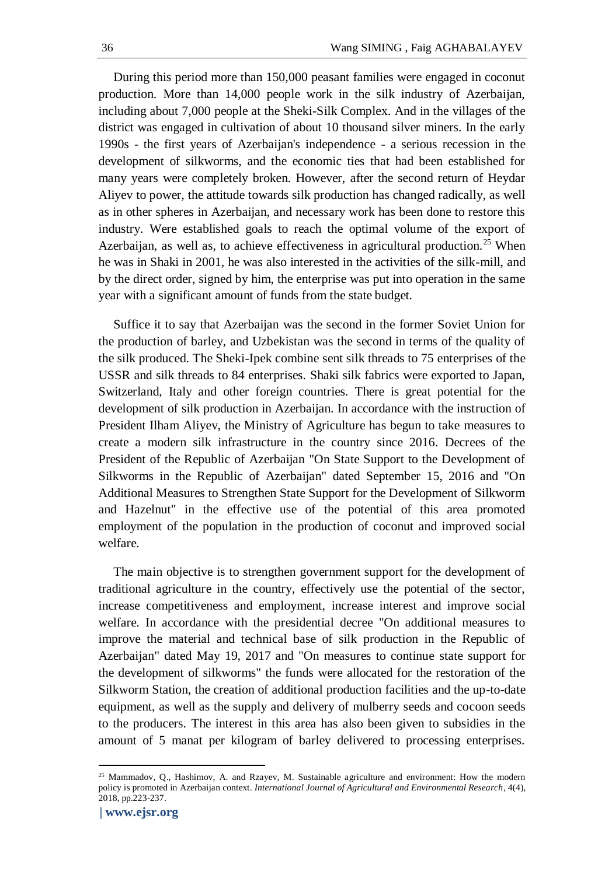During this period more than 150,000 peasant families were engaged in coconut production. More than 14,000 people work in the silk industry of Azerbaijan, including about 7,000 people at the Sheki-Silk Complex. And in the villages of the district was engaged in cultivation of about 10 thousand silver miners. In the early 1990s - the first years of Azerbaijan's independence - a serious recession in the development of silkworms, and the economic ties that had been established for many years were completely broken. However, after the second return of Heydar Aliyev to power, the attitude towards silk production has changed radically, as well as in other spheres in Azerbaijan, and necessary work has been done to restore this industry. Were established goals to reach the optimal volume of the export of Azerbaijan, as well as, to achieve effectiveness in agricultural production.<sup>25</sup> When he was in Shaki in 2001, he was also interested in the activities of the silk-mill, and by the direct order, signed by him, the enterprise was put into operation in the same year with a significant amount of funds from the state budget.

Suffice it to say that Azerbaijan was the second in the former Soviet Union for the production of barley, and Uzbekistan was the second in terms of the quality of the silk produced. The Sheki-Ipek combine sent silk threads to 75 enterprises of the USSR and silk threads to 84 enterprises. Shaki silk fabrics were exported to Japan, Switzerland, Italy and other foreign countries. There is great potential for the development of silk production in Azerbaijan. In accordance with the instruction of President Ilham Aliyev, the Ministry of Agriculture has begun to take measures to create a modern silk infrastructure in the country since 2016. Decrees of the President of the Republic of Azerbaijan "On State Support to the Development of Silkworms in the Republic of Azerbaijan" dated September 15, 2016 and "On Additional Measures to Strengthen State Support for the Development of Silkworm and Hazelnut" in the effective use of the potential of this area promoted employment of the population in the production of coconut and improved social welfare.

The main objective is to strengthen government support for the development of traditional agriculture in the country, effectively use the potential of the sector, increase competitiveness and employment, increase interest and improve social welfare. In accordance with the presidential decree "On additional measures to improve the material and technical base of silk production in the Republic of Azerbaijan" dated May 19, 2017 and "On measures to continue state support for the development of silkworms" the funds were allocated for the restoration of the Silkworm Station, the creation of additional production facilities and the up-to-date equipment, as well as the supply and delivery of mulberry seeds and cocoon seeds to the producers. The interest in this area has also been given to subsidies in the amount of 5 manat per kilogram of barley delivered to processing enterprises.

<sup>25</sup> Mammadov, Q., Hashimov, A. and Rzayev, M. Sustainable agriculture and environment: How the modern policy is promoted in Azerbaijan context. *International Journal of Agricultural and Environmental Research*, 4(4), 2018, pp.223-237.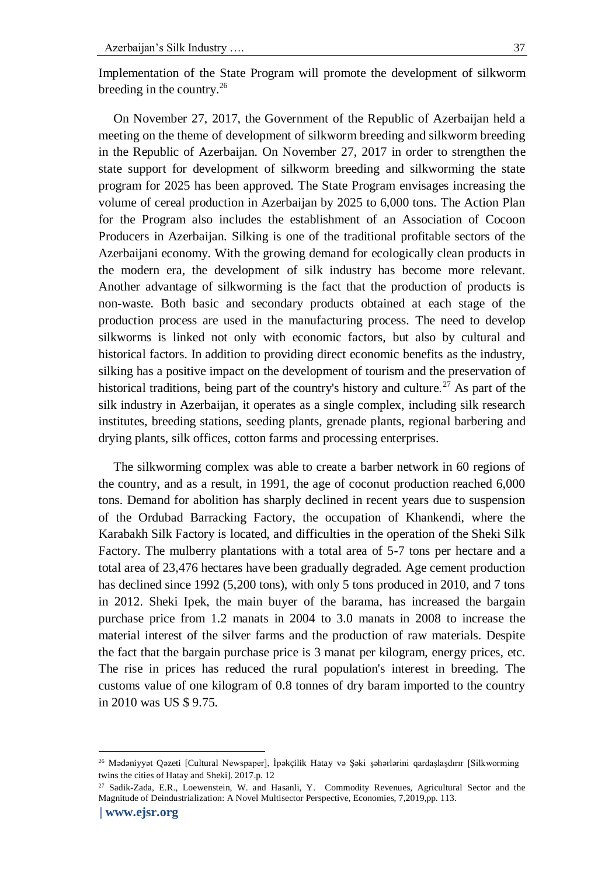Implementation of the State Program will promote the development of silkworm breeding in the country.<sup>26</sup>

On November 27, 2017, the Government of the Republic of Azerbaijan held a meeting on the theme of development of silkworm breeding and silkworm breeding in the Republic of Azerbaijan. On November 27, 2017 in order to strengthen the state support for development of silkworm breeding and silkworming the state program for 2025 has been approved. The State Program envisages increasing the volume of cereal production in Azerbaijan by 2025 to 6,000 tons. The Action Plan for the Program also includes the establishment of an Association of Cocoon Producers in Azerbaijan. Silking is one of the traditional profitable sectors of the Azerbaijani economy. With the growing demand for ecologically clean products in the modern era, the development of silk industry has become more relevant. Another advantage of silkworming is the fact that the production of products is non-waste. Both basic and secondary products obtained at each stage of the production process are used in the manufacturing process. The need to develop silkworms is linked not only with economic factors, but also by cultural and historical factors. In addition to providing direct economic benefits as the industry, silking has a positive impact on the development of tourism and the preservation of historical traditions, being part of the country's history and culture.<sup>27</sup> As part of the silk industry in Azerbaijan, it operates as a single complex, including silk research institutes, breeding stations, seeding plants, grenade plants, regional barbering and drying plants, silk offices, cotton farms and processing enterprises.

The silkworming complex was able to create a barber network in 60 regions of the country, and as a result, in 1991, the age of coconut production reached 6,000 tons. Demand for abolition has sharply declined in recent years due to suspension of the Ordubad Barracking Factory, the occupation of Khankendi, where the Karabakh Silk Factory is located, and difficulties in the operation of the Sheki Silk Factory. The mulberry plantations with a total area of 5-7 tons per hectare and a total area of 23,476 hectares have been gradually degraded. Age cement production has declined since 1992 (5,200 tons), with only 5 tons produced in 2010, and 7 tons in 2012. Sheki Ipek, the main buyer of the barama, has increased the bargain purchase price from 1.2 manats in 2004 to 3.0 manats in 2008 to increase the material interest of the silver farms and the production of raw materials. Despite the fact that the bargain purchase price is 3 manat per kilogram, energy prices, etc. The rise in prices has reduced the rural population's interest in breeding. The customs value of one kilogram of 0.8 tonnes of dry baram imported to the country in 2010 was US \$ 9.75.

<sup>26</sup> Mədəniyyət Qəzeti [Cultural Newspaper], İpəkçilik Hatay və Şəki şəhərlərini qardaşlaşdırır [Silkworming twins the cities of Hatay and Sheki]. 2017.p. 12

<sup>27</sup> Sadik-Zada, E.R., Loewenstein, W. and Hasanli, Y. Commodity Revenues, Agricultural Sector and the Magnitude of Deindustrialization: A Novel Multisector Perspective, Economies, 7,2019,pp. 113.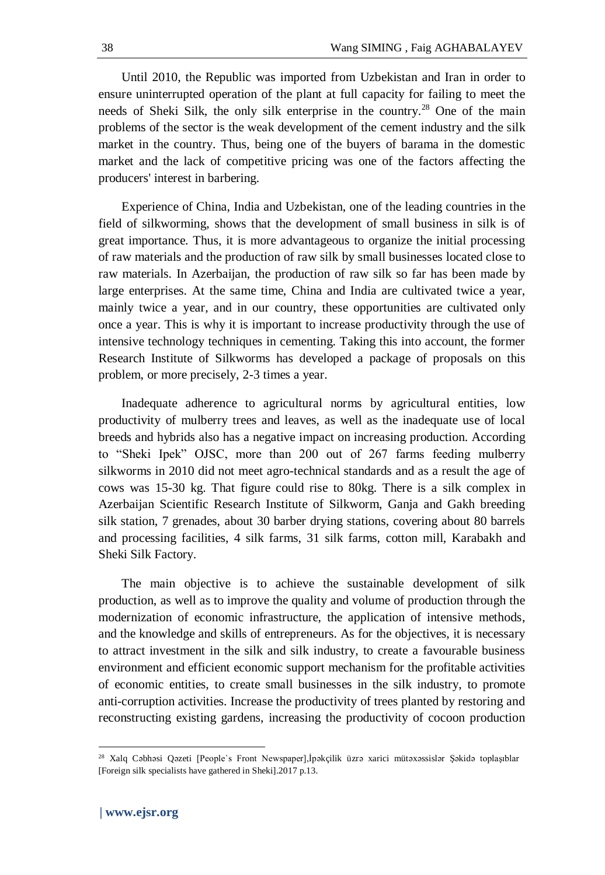Until 2010, the Republic was imported from Uzbekistan and Iran in order to ensure uninterrupted operation of the plant at full capacity for failing to meet the needs of Sheki Silk, the only silk enterprise in the country.<sup>28</sup> One of the main problems of the sector is the weak development of the cement industry and the silk market in the country. Thus, being one of the buyers of barama in the domestic market and the lack of competitive pricing was one of the factors affecting the producers' interest in barbering.

Experience of China, India and Uzbekistan, one of the leading countries in the field of silkworming, shows that the development of small business in silk is of great importance. Thus, it is more advantageous to organize the initial processing of raw materials and the production of raw silk by small businesses located close to raw materials. In Azerbaijan, the production of raw silk so far has been made by large enterprises. At the same time, China and India are cultivated twice a year, mainly twice a year, and in our country, these opportunities are cultivated only once a year. This is why it is important to increase productivity through the use of intensive technology techniques in cementing. Taking this into account, the former Research Institute of Silkworms has developed a package of proposals on this problem, or more precisely, 2-3 times a year.

Inadequate adherence to agricultural norms by agricultural entities, low productivity of mulberry trees and leaves, as well as the inadequate use of local breeds and hybrids also has a negative impact on increasing production. According to "Sheki Ipek" OJSC, more than 200 out of 267 farms feeding mulberry silkworms in 2010 did not meet agro-technical standards and as a result the age of cows was 15-30 kg. That figure could rise to 80kg. There is a silk complex in Azerbaijan Scientific Research Institute of Silkworm, Ganja and Gakh breeding silk station, 7 grenades, about 30 barber drying stations, covering about 80 barrels and processing facilities, 4 silk farms, 31 silk farms, cotton mill, Karabakh and Sheki Silk Factory.

The main objective is to achieve the sustainable development of silk production, as well as to improve the quality and volume of production through the modernization of economic infrastructure, the application of intensive methods, and the knowledge and skills of entrepreneurs. As for the objectives, it is necessary to attract investment in the silk and silk industry, to create a favourable business environment and efficient economic support mechanism for the profitable activities of economic entities, to create small businesses in the silk industry, to promote anti-corruption activities. Increase the productivity of trees planted by restoring and reconstructing existing gardens, increasing the productivity of cocoon production

 $\ddot{\phantom{a}}$ 

<sup>28</sup> Xalq Cəbhəsi Qəzeti [People`s Front Newspaper],İpəkçilik üzrə xarici mütəxəssislər Şəkidə toplaşıblar [Foreign silk specialists have gathered in Sheki].2017 p.13.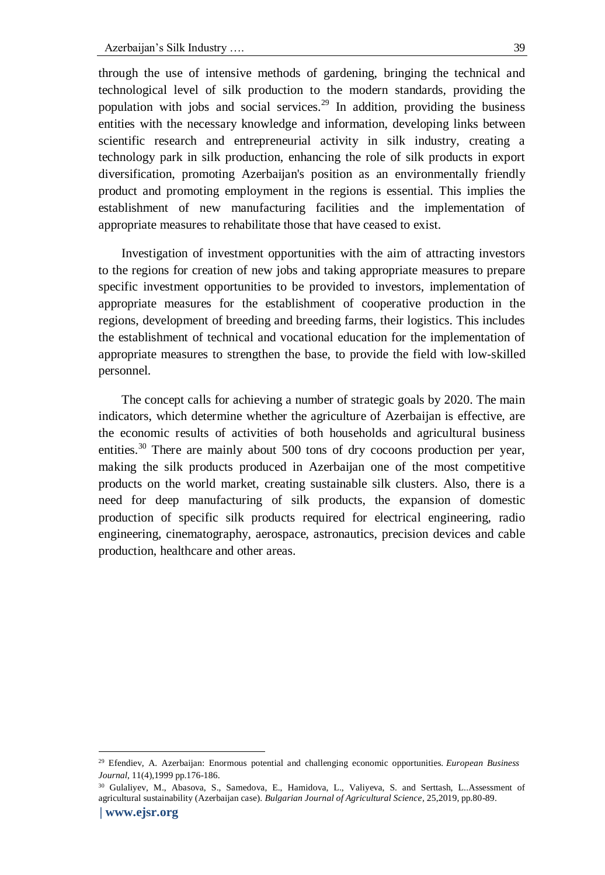through the use of intensive methods of gardening, bringing the technical and technological level of silk production to the modern standards, providing the population with jobs and social services.<sup>29</sup> In addition, providing the business entities with the necessary knowledge and information, developing links between scientific research and entrepreneurial activity in silk industry, creating a technology park in silk production, enhancing the role of silk products in export diversification, promoting Azerbaijan's position as an environmentally friendly product and promoting employment in the regions is essential. This implies the establishment of new manufacturing facilities and the implementation of appropriate measures to rehabilitate those that have ceased to exist.

Investigation of investment opportunities with the aim of attracting investors to the regions for creation of new jobs and taking appropriate measures to prepare specific investment opportunities to be provided to investors, implementation of appropriate measures for the establishment of cooperative production in the regions, development of breeding and breeding farms, their logistics. This includes the establishment of technical and vocational education for the implementation of appropriate measures to strengthen the base, to provide the field with low-skilled personnel.

The concept calls for achieving a number of strategic goals by 2020. The main indicators, which determine whether the agriculture of Azerbaijan is effective, are the economic results of activities of both households and agricultural business entities.<sup>30</sup> There are mainly about 500 tons of dry cocoons production per year, making the silk products produced in Azerbaijan one of the most competitive products on the world market, creating sustainable silk clusters. Also, there is a need for deep manufacturing of silk products, the expansion of domestic production of specific silk products required for electrical engineering, radio engineering, cinematography, aerospace, astronautics, precision devices and cable production, healthcare and other areas.

<sup>29</sup> Efendiev, A. Azerbaijan: Enormous potential and challenging economic opportunities. *European Business Journal*, 11(4),1999 pp.176-186.

**<sup>|</sup> [www.ejsr.org](http://www.ejsr.org/)** <sup>30</sup> Gulaliyev, M., Abasova, S., Samedova, E., Hamidova, L., Valiyeva, S. and Serttash, L..Assessment of agricultural sustainability (Azerbaijan case). *Bulgarian Journal of Agricultural Science*, 25,2019, pp.80-89.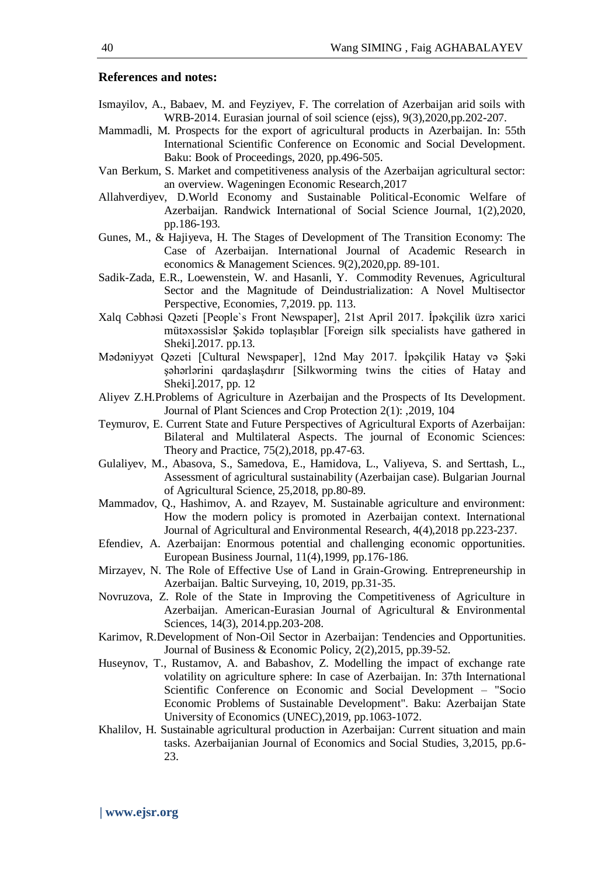#### **References and notes:**

- Ismayilov, A., Babaev, M. and Feyziyev, F. The correlation of Azerbaijan arid soils with WRB-2014. Eurasian journal of soil science (ejss), 9(3),2020,pp.202-207.
- Mammadli, M. Prospects for the export of agricultural products in Azerbaijan. In: 55th International Scientific Conference on Economic and Social Development. Baku: Book of Proceedings, 2020, pp.496-505.
- Van Berkum, S. Market and competitiveness analysis of the Azerbaijan agricultural sector: an overview. Wageningen Economic Research,2017
- Allahverdiyev, D.World Economy and Sustainable Political-Economic Welfare of Azerbaijan. Randwick International of Social Science Journal, 1(2),2020, pp.186-193.
- Gunes, M., & Hajiyeva, H. The Stages of Development of The Transition Economy: The Case of Azerbaijan. International Journal of Academic Research in economics & Management Sciences. 9(2),2020,pp. 89-101.
- Sadik-Zada, E.R., Loewenstein, W. and Hasanli, Y. Commodity Revenues, Agricultural Sector and the Magnitude of Deindustrialization: A Novel Multisector Perspective, Economies, 7,2019. pp. 113.
- Xalq Cəbhəsi Qəzeti [People`s Front Newspaper], 21st April 2017. İpəkçilik üzrə xarici mütəxəssislər Şəkidə toplaşıblar [Foreign silk specialists have gathered in Sheki].2017. pp.13.
- Mədəniyyət Qəzeti [Cultural Newspaper], 12nd May 2017. İpəkçilik Hatay və Şəki şəhərlərini qardaşlaşdırır [Silkworming twins the cities of Hatay and Sheki].2017, pp. 12
- Aliyev Z.H.Problems of Agriculture in Azerbaijan and the Prospects of Its Development. Journal of Plant Sciences and Crop Protection 2(1): ,2019, 104
- Teymurov, E. Current State and Future Perspectives of Agricultural Exports of Azerbaijan: Bilateral and Multilateral Aspects. The journal of Economic Sciences: Theory and Practice, 75(2),2018, pp.47-63.
- Gulaliyev, M., Abasova, S., Samedova, E., Hamidova, L., Valiyeva, S. and Serttash, L., Assessment of agricultural sustainability (Azerbaijan case). Bulgarian Journal of Agricultural Science, 25,2018, pp.80-89.
- Mammadov, Q., Hashimov, A. and Rzayev, M. Sustainable agriculture and environment: How the modern policy is promoted in Azerbaijan context. International Journal of Agricultural and Environmental Research, 4(4),2018 pp.223-237.
- Efendiev, A. Azerbaijan: Enormous potential and challenging economic opportunities. European Business Journal, 11(4),1999, pp.176-186.
- Mirzayev, N. The Role of Effective Use of Land in Grain-Growing. Entrepreneurship in Azerbaijan. Baltic Surveying, 10, 2019, pp.31-35.
- Novruzova, Z. Role of the State in Improving the Competitiveness of Agriculture in Azerbaijan. American-Eurasian Journal of Agricultural & Environmental Sciences, 14(3), 2014.pp.203-208.
- Karimov, R.Development of Non-Oil Sector in Azerbaijan: Tendencies and Opportunities. Journal of Business & Economic Policy, 2(2),2015, pp.39-52.
- Huseynov, T., Rustamov, A. and Babashov, Z. Modelling the impact of exchange rate volatility on agriculture sphere: In case of Azerbaijan. In: 37th International Scientific Conference on Economic and Social Development – "Socio Economic Problems of Sustainable Development". Baku: Azerbaijan State University of Economics (UNEC),2019, pp.1063-1072.
- Khalilov, H. Sustainable agricultural production in Azerbaijan: Current situation and main tasks. Azerbaijanian Journal of Economics and Social Studies, 3,2015, pp.6- 23.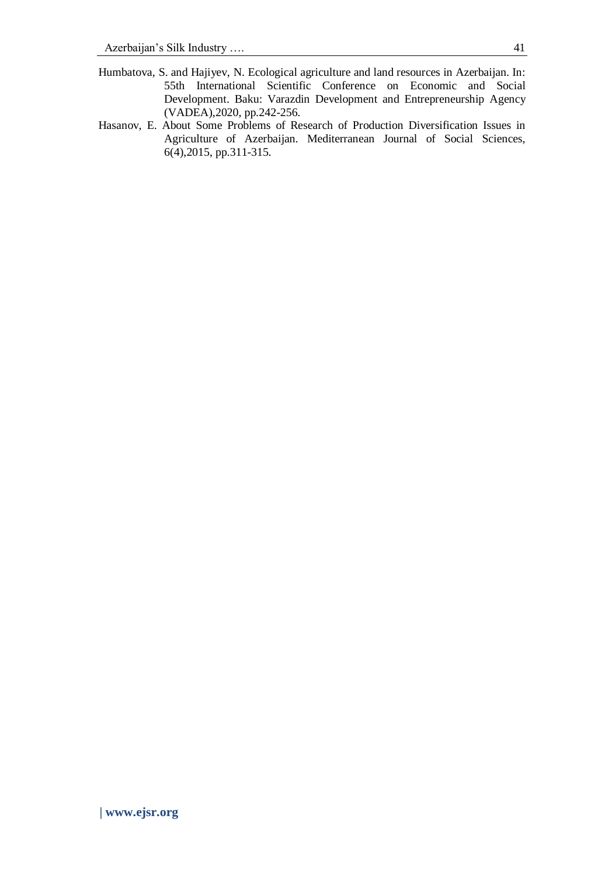- Humbatova, S. and Hajiyev, N. Ecological agriculture and land resources in Azerbaijan. In: 55th International Scientific Conference on Economic and Social Development. Baku: Varazdin Development and Entrepreneurship Agency (VADEA),2020, pp.242-256.
- Hasanov, E. About Some Problems of Research of Production Diversification Issues in Agriculture of Azerbaijan. Mediterranean Journal of Social Sciences, 6(4),2015, pp.311-315.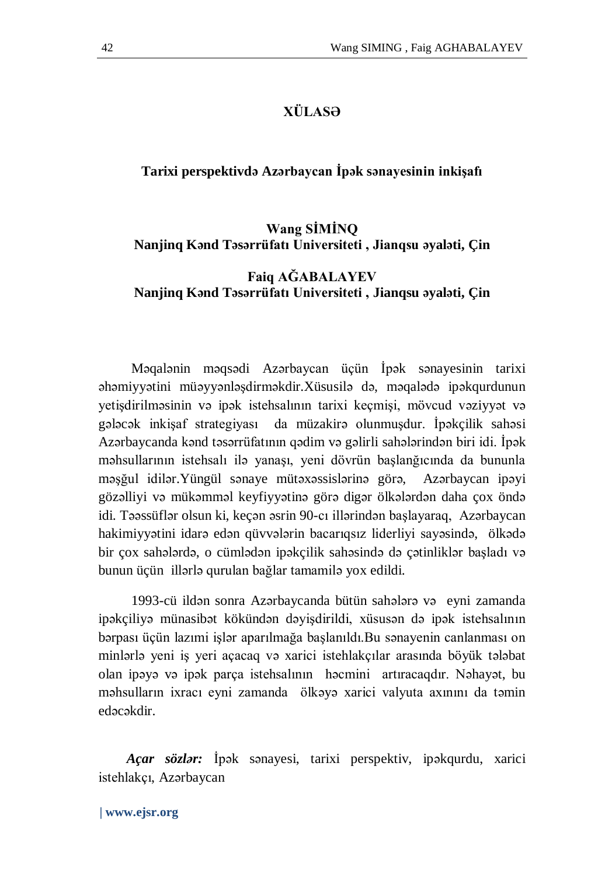# **XÜLASƏ**

### **Tarixi perspektivdə Azərbaycan İpək sənayesinin inkişafı**

# **Wang SİMİNQ Nanjinq Kənd Təsərrüfatı Universiteti , Jianqsu əyaləti, Çin**

# **Faiq AĞABALAYEV Nanjinq Kənd Təsərrüfatı Universiteti , Jianqsu əyaləti, Çin**

Məqalənin məqsədi Azərbaycan üçün İpək sənayesinin tarixi əhəmiyyətini müəyyənləşdirməkdir.Xüsusilə də, məqalədə ipəkqurdunun yetişdirilməsinin və ipək istehsalının tarixi keçmişi, mövcud vəziyyət və gələcək inkişaf strategiyası da müzakirə olunmuşdur. İpəkçilik sahəsi Azərbaycanda kənd təsərrüfatının qədim və gəlirli sahələrindən biri idi. İpək məhsullarının istehsalı ilə yanaşı, yeni dövrün başlanğıcında da bununla məşğul idilər.Yüngül sənaye mütəxəssislərinə görə, Azərbaycan ipəyi gözəlliyi və mükəmməl keyfiyyətinə görə digər ölkələrdən daha çox öndə idi. Təəssüflər olsun ki, keçən əsrin 90-cı illərindən başlayaraq, Azərbaycan hakimiyyətini idarə edən qüvvələrin bacarıqsız liderliyi sayəsində, ölkədə bir çox sahələrdə, o cümlədən ipəkçilik sahəsində də çətinliklər başladı və bunun üçün illərlə qurulan bağlar tamamilə yox edildi.

1993-cü ildən sonra Azərbaycanda bütün sahələrə və eyni zamanda ipəkçiliyə münasibət kökündən dəyişdirildi, xüsusən də ipək istehsalının bərpası üçün lazımi işlər aparılmağa başlanıldı.Bu sənayenin canlanması on minlərlə yeni iş yeri açacaq və xarici istehlakçılar arasında böyük tələbat olan ipəyə və ipək parça istehsalının həcmini artıracaqdır. Nəhayət, bu məhsulların ixracı eyni zamanda ölkəyə xarici valyuta axınını da təmin edəcəkdir.

 *Açar sözlər:* İpək sənayesi, tarixi perspektiv, ipəkqurdu, xarici istehlakçı, Azərbaycan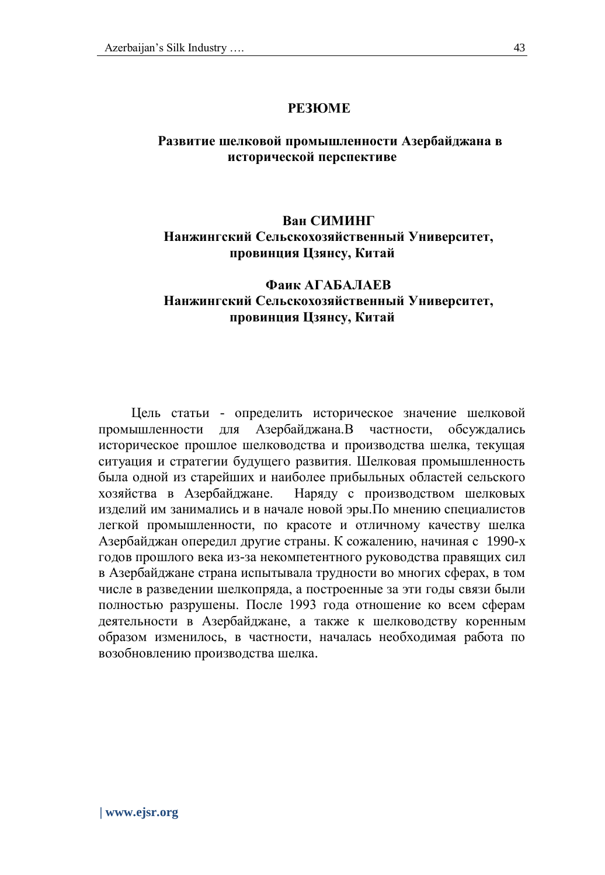# **Развитие шелковой промышленности Азербайджана в исторической перспективе**

# **Ван СИМИНГ Нанжингский Сельскохозяйственный Университет, провинция Цзянсу, Китай**

# **Фаик АГАБАЛАЕВ Нанжингский Сельскохозяйственный Университет, провинция Цзянсу, Китай**

Цель статьи - определить историческое значение шелковой промышленности для Азербайджана.В частности, обсуждались историческое прошлое шелководства и производства шелка, текущая ситуация и стратегии будущего развития. Шелковая промышленность была одной из старейших и наиболее прибыльных областей сельского хозяйства в Азербайджане. Наряду с производством шелковых изделий им занимались и в начале новой эры.По мнению специалистов легкой промышленности, по красоте и отличному качеству шелка Азербайджан опередил другие страны. К сожалению, начиная с 1990-х годов прошлого века из-за некомпетентного руководства правящих сил в Азербайджане страна испытывала трудности во многих сферах, в том числе в разведении шелкопряда, а построенные за эти годы связи были полностью разрушены. После 1993 года отношение ко всем сферам деятельности в Азербайджане, а также к шелководству коренным образом изменилось, в частности, началась необходимая работа по возобновлению производства шелка.